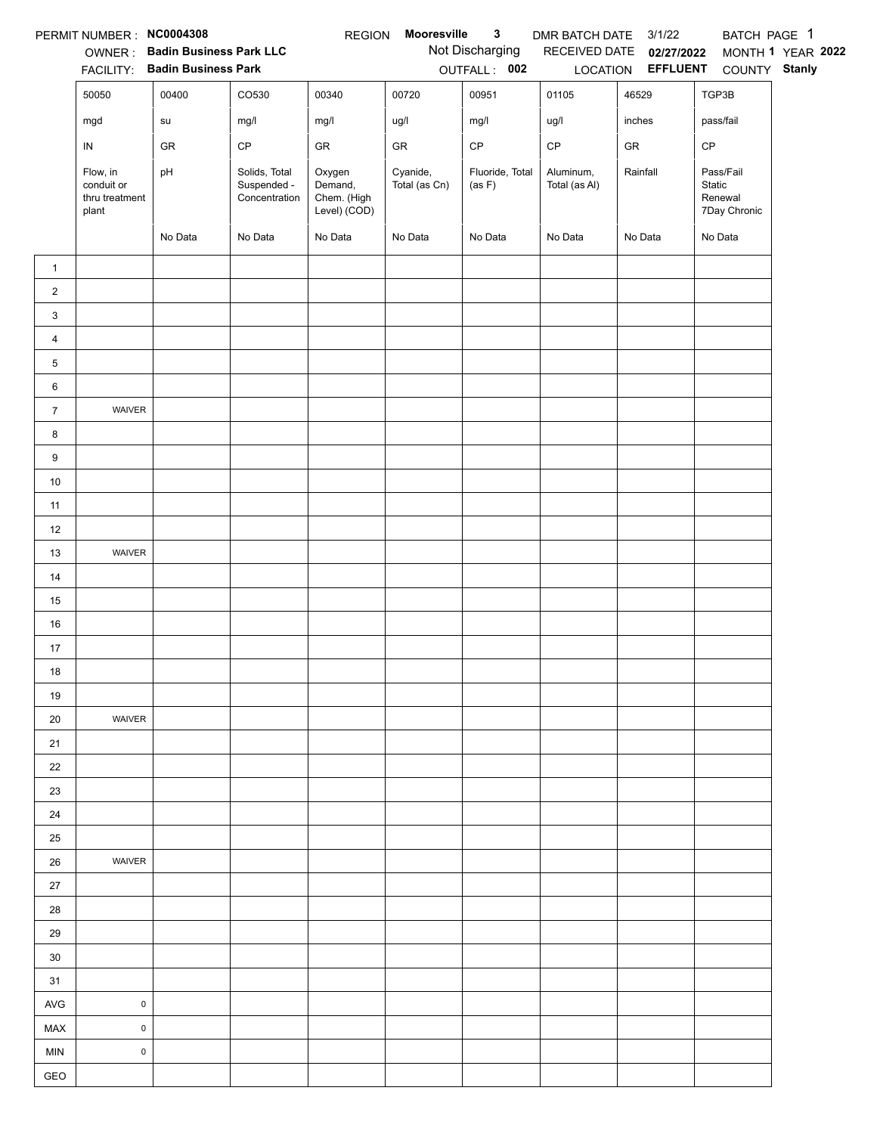|                | PERMIT NUMBER : NC0004308                         |                                        |                                               | <b>REGION</b>                                    | Mooresville               | $\mathbf{3}$              | DMR BATCH DATE 3/1/22      |                                   | BATCH PAGE 1                                   |                   |
|----------------|---------------------------------------------------|----------------------------------------|-----------------------------------------------|--------------------------------------------------|---------------------------|---------------------------|----------------------------|-----------------------------------|------------------------------------------------|-------------------|
|                |                                                   | OWNER: Badin Business Park LLC         |                                               |                                                  |                           | Not Discharging           |                            | RECEIVED DATE 02/27/2022          |                                                | MONTH 1 YEAR 2022 |
|                | 50050                                             | FACILITY: Badin Business Park<br>00400 | CO530                                         | 00340                                            | 00720                     | OUTFALL: 002<br>00951     | 01105                      | LOCATION <b>EFFLUENT</b><br>46529 | COUNTY Stanly<br>TGP3B                         |                   |
|                |                                                   |                                        |                                               |                                                  |                           |                           |                            | inches                            |                                                |                   |
|                | mgd                                               | su                                     | mg/l                                          | mg/l                                             | ug/l                      | mg/l                      | ug/l                       |                                   | pass/fail                                      |                   |
|                | ${\sf IN}$                                        | GR                                     | CP                                            | GR                                               | GR                        | $\mathsf{CP}$             | $\mathsf{CP}$              | ${\sf GR}$                        | CP                                             |                   |
|                | Flow, in<br>conduit or<br>thru treatment<br>plant | pH                                     | Solids, Total<br>Suspended -<br>Concentration | Oxygen<br>Demand,<br>Chem. (High<br>Level) (COD) | Cyanide,<br>Total (as Cn) | Fluoride, Total<br>(as F) | Aluminum,<br>Total (as Al) | Rainfall                          | Pass/Fail<br>Static<br>Renewal<br>7Day Chronic |                   |
|                |                                                   | No Data                                | No Data                                       | No Data                                          | No Data                   | No Data                   | No Data                    | No Data                           | No Data                                        |                   |
| $\mathbf{1}$   |                                                   |                                        |                                               |                                                  |                           |                           |                            |                                   |                                                |                   |
| $\overline{2}$ |                                                   |                                        |                                               |                                                  |                           |                           |                            |                                   |                                                |                   |
| 3              |                                                   |                                        |                                               |                                                  |                           |                           |                            |                                   |                                                |                   |
| $\overline{4}$ |                                                   |                                        |                                               |                                                  |                           |                           |                            |                                   |                                                |                   |
| 5              |                                                   |                                        |                                               |                                                  |                           |                           |                            |                                   |                                                |                   |
| 6              |                                                   |                                        |                                               |                                                  |                           |                           |                            |                                   |                                                |                   |
| $\overline{7}$ | WAIVER                                            |                                        |                                               |                                                  |                           |                           |                            |                                   |                                                |                   |
| 8              |                                                   |                                        |                                               |                                                  |                           |                           |                            |                                   |                                                |                   |
| 9              |                                                   |                                        |                                               |                                                  |                           |                           |                            |                                   |                                                |                   |
| $10\,$         |                                                   |                                        |                                               |                                                  |                           |                           |                            |                                   |                                                |                   |
| 11             |                                                   |                                        |                                               |                                                  |                           |                           |                            |                                   |                                                |                   |
| 12             |                                                   |                                        |                                               |                                                  |                           |                           |                            |                                   |                                                |                   |
| 13             | WAIVER                                            |                                        |                                               |                                                  |                           |                           |                            |                                   |                                                |                   |
| 14             |                                                   |                                        |                                               |                                                  |                           |                           |                            |                                   |                                                |                   |
| 15             |                                                   |                                        |                                               |                                                  |                           |                           |                            |                                   |                                                |                   |
| 16             |                                                   |                                        |                                               |                                                  |                           |                           |                            |                                   |                                                |                   |
| 17             |                                                   |                                        |                                               |                                                  |                           |                           |                            |                                   |                                                |                   |
| 18             |                                                   |                                        |                                               |                                                  |                           |                           |                            |                                   |                                                |                   |
| 19             |                                                   |                                        |                                               |                                                  |                           |                           |                            |                                   |                                                |                   |
| 20             | WAIVER                                            |                                        |                                               |                                                  |                           |                           |                            |                                   |                                                |                   |
| 21             |                                                   |                                        |                                               |                                                  |                           |                           |                            |                                   |                                                |                   |
| 22             |                                                   |                                        |                                               |                                                  |                           |                           |                            |                                   |                                                |                   |
| 23             |                                                   |                                        |                                               |                                                  |                           |                           |                            |                                   |                                                |                   |
| 24             |                                                   |                                        |                                               |                                                  |                           |                           |                            |                                   |                                                |                   |
| 25             |                                                   |                                        |                                               |                                                  |                           |                           |                            |                                   |                                                |                   |
| 26             | WAIVER                                            |                                        |                                               |                                                  |                           |                           |                            |                                   |                                                |                   |
| 27             |                                                   |                                        |                                               |                                                  |                           |                           |                            |                                   |                                                |                   |
| 28             |                                                   |                                        |                                               |                                                  |                           |                           |                            |                                   |                                                |                   |
| 29             |                                                   |                                        |                                               |                                                  |                           |                           |                            |                                   |                                                |                   |
| 30             |                                                   |                                        |                                               |                                                  |                           |                           |                            |                                   |                                                |                   |
| 31             |                                                   |                                        |                                               |                                                  |                           |                           |                            |                                   |                                                |                   |
| AVG            | $\pmb{0}$                                         |                                        |                                               |                                                  |                           |                           |                            |                                   |                                                |                   |
| MAX            | $\mathsf 0$                                       |                                        |                                               |                                                  |                           |                           |                            |                                   |                                                |                   |
| <b>MIN</b>     | $\mathsf 0$                                       |                                        |                                               |                                                  |                           |                           |                            |                                   |                                                |                   |
| GEO            |                                                   |                                        |                                               |                                                  |                           |                           |                            |                                   |                                                |                   |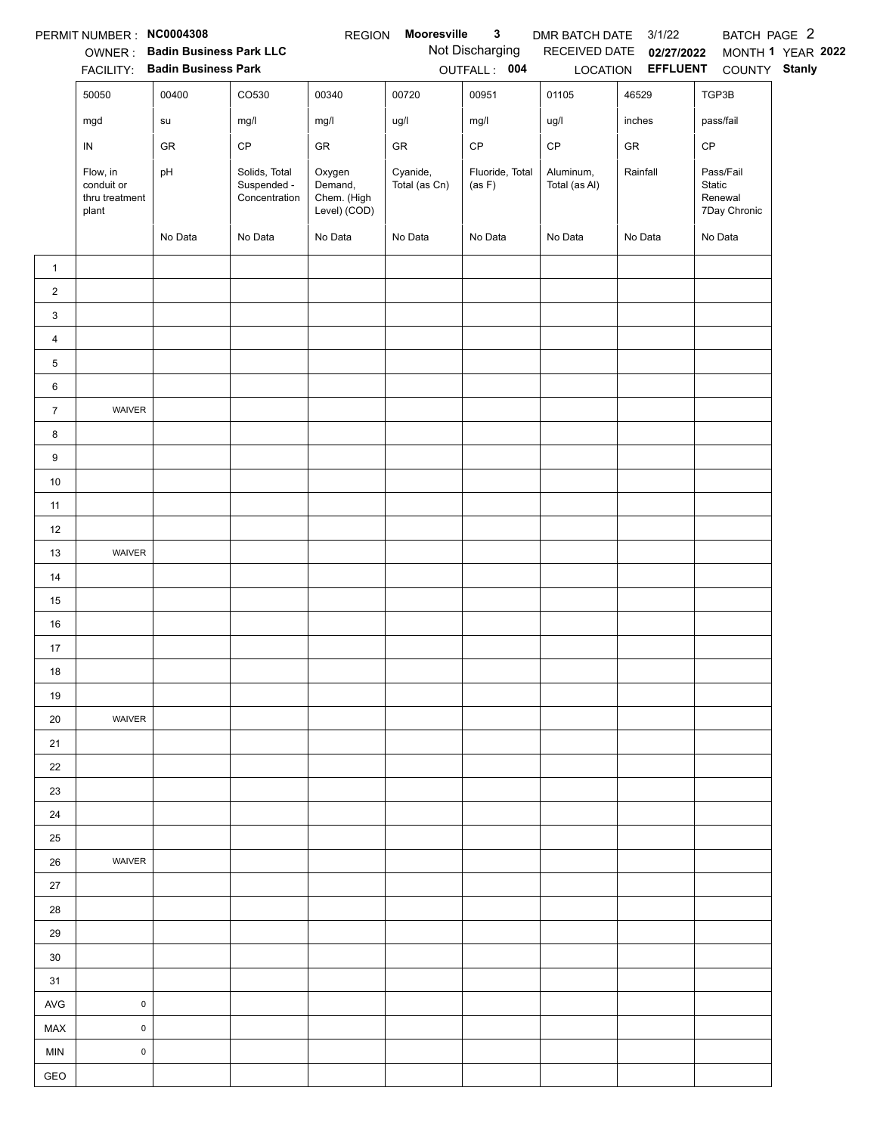|                | PERMIT NUMBER : NC0004308                         |                                        |                                               | <b>REGION</b>                                    | Mooresville               | $\mathbf{3}$              | DMR BATCH DATE 3/1/22      |                                   | BATCH PAGE 2                                   |                   |
|----------------|---------------------------------------------------|----------------------------------------|-----------------------------------------------|--------------------------------------------------|---------------------------|---------------------------|----------------------------|-----------------------------------|------------------------------------------------|-------------------|
|                |                                                   | OWNER: Badin Business Park LLC         |                                               |                                                  |                           | Not Discharging           |                            | RECEIVED DATE 02/27/2022          |                                                | MONTH 1 YEAR 2022 |
|                | 50050                                             | FACILITY: Badin Business Park<br>00400 | CO530                                         | 00340                                            | 00720                     | OUTFALL: 004<br>00951     | 01105                      | LOCATION <b>EFFLUENT</b><br>46529 | COUNTY Stanly<br>TGP3B                         |                   |
|                |                                                   |                                        |                                               |                                                  |                           |                           |                            |                                   |                                                |                   |
|                | mgd                                               | su                                     | mg/l                                          | mg/l                                             | ug/l                      | mg/l                      | ug/l                       | inches                            | pass/fail                                      |                   |
|                | ${\sf IN}$                                        | GR                                     | CP                                            | GR                                               | GR                        | $\mathsf{CP}$             | $\mathsf{CP}$              | ${\sf GR}$                        | CP                                             |                   |
|                | Flow, in<br>conduit or<br>thru treatment<br>plant | pH                                     | Solids, Total<br>Suspended -<br>Concentration | Oxygen<br>Demand,<br>Chem. (High<br>Level) (COD) | Cyanide,<br>Total (as Cn) | Fluoride, Total<br>(as F) | Aluminum,<br>Total (as Al) | Rainfall                          | Pass/Fail<br>Static<br>Renewal<br>7Day Chronic |                   |
|                |                                                   | No Data                                | No Data                                       | No Data                                          | No Data                   | No Data                   | No Data                    | No Data                           | No Data                                        |                   |
| $\mathbf{1}$   |                                                   |                                        |                                               |                                                  |                           |                           |                            |                                   |                                                |                   |
| $\overline{2}$ |                                                   |                                        |                                               |                                                  |                           |                           |                            |                                   |                                                |                   |
| 3              |                                                   |                                        |                                               |                                                  |                           |                           |                            |                                   |                                                |                   |
| $\overline{4}$ |                                                   |                                        |                                               |                                                  |                           |                           |                            |                                   |                                                |                   |
| 5              |                                                   |                                        |                                               |                                                  |                           |                           |                            |                                   |                                                |                   |
| 6              |                                                   |                                        |                                               |                                                  |                           |                           |                            |                                   |                                                |                   |
| $\overline{7}$ | WAIVER                                            |                                        |                                               |                                                  |                           |                           |                            |                                   |                                                |                   |
| 8              |                                                   |                                        |                                               |                                                  |                           |                           |                            |                                   |                                                |                   |
| 9              |                                                   |                                        |                                               |                                                  |                           |                           |                            |                                   |                                                |                   |
| $10\,$         |                                                   |                                        |                                               |                                                  |                           |                           |                            |                                   |                                                |                   |
| 11             |                                                   |                                        |                                               |                                                  |                           |                           |                            |                                   |                                                |                   |
| 12             |                                                   |                                        |                                               |                                                  |                           |                           |                            |                                   |                                                |                   |
| 13             | WAIVER                                            |                                        |                                               |                                                  |                           |                           |                            |                                   |                                                |                   |
| 14             |                                                   |                                        |                                               |                                                  |                           |                           |                            |                                   |                                                |                   |
| 15             |                                                   |                                        |                                               |                                                  |                           |                           |                            |                                   |                                                |                   |
| 16             |                                                   |                                        |                                               |                                                  |                           |                           |                            |                                   |                                                |                   |
| 17             |                                                   |                                        |                                               |                                                  |                           |                           |                            |                                   |                                                |                   |
| 18             |                                                   |                                        |                                               |                                                  |                           |                           |                            |                                   |                                                |                   |
| 19             |                                                   |                                        |                                               |                                                  |                           |                           |                            |                                   |                                                |                   |
| 20             | WAIVER                                            |                                        |                                               |                                                  |                           |                           |                            |                                   |                                                |                   |
| 21             |                                                   |                                        |                                               |                                                  |                           |                           |                            |                                   |                                                |                   |
| 22             |                                                   |                                        |                                               |                                                  |                           |                           |                            |                                   |                                                |                   |
| 23             |                                                   |                                        |                                               |                                                  |                           |                           |                            |                                   |                                                |                   |
| 24             |                                                   |                                        |                                               |                                                  |                           |                           |                            |                                   |                                                |                   |
| 25             |                                                   |                                        |                                               |                                                  |                           |                           |                            |                                   |                                                |                   |
| 26             | WAIVER                                            |                                        |                                               |                                                  |                           |                           |                            |                                   |                                                |                   |
| 27             |                                                   |                                        |                                               |                                                  |                           |                           |                            |                                   |                                                |                   |
| 28             |                                                   |                                        |                                               |                                                  |                           |                           |                            |                                   |                                                |                   |
| 29             |                                                   |                                        |                                               |                                                  |                           |                           |                            |                                   |                                                |                   |
| 30             |                                                   |                                        |                                               |                                                  |                           |                           |                            |                                   |                                                |                   |
| 31             |                                                   |                                        |                                               |                                                  |                           |                           |                            |                                   |                                                |                   |
| AVG            | $\pmb{0}$                                         |                                        |                                               |                                                  |                           |                           |                            |                                   |                                                |                   |
| MAX            | $\mathsf 0$                                       |                                        |                                               |                                                  |                           |                           |                            |                                   |                                                |                   |
| <b>MIN</b>     | $\mathsf 0$                                       |                                        |                                               |                                                  |                           |                           |                            |                                   |                                                |                   |
| GEO            |                                                   |                                        |                                               |                                                  |                           |                           |                            |                                   |                                                |                   |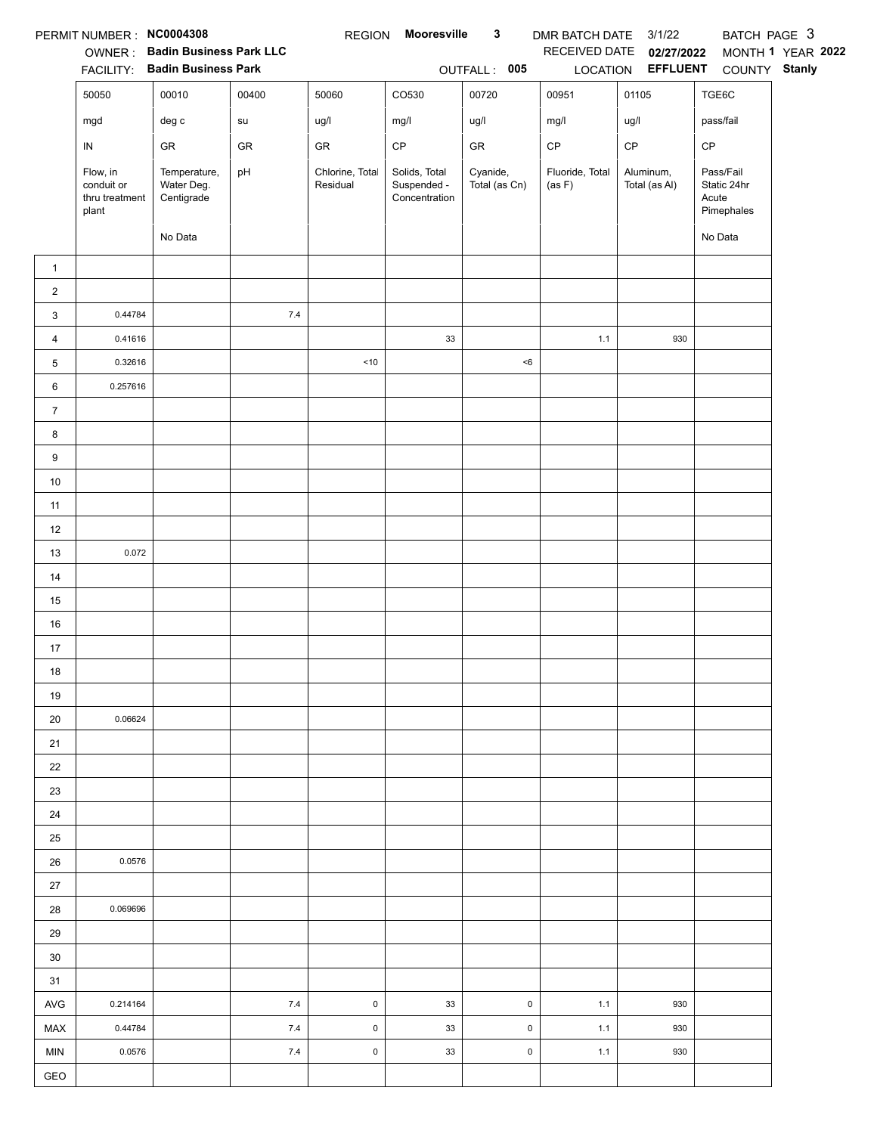|                | PERMIT NUMBER : NC0004308                         |                                          |       | <b>REGION</b>               | <b>Mooresville</b>                            | $\mathbf{3}$              | DMR BATCH DATE 3/1/22     |                            | BATCH PAGE 3                                    |                   |
|----------------|---------------------------------------------------|------------------------------------------|-------|-----------------------------|-----------------------------------------------|---------------------------|---------------------------|----------------------------|-------------------------------------------------|-------------------|
|                |                                                   | OWNER: Badin Business Park LLC           |       |                             |                                               |                           | RECEIVED DATE             | 02/27/2022                 |                                                 | MONTH 1 YEAR 2022 |
|                |                                                   | FACILITY: Badin Business Park            |       |                             |                                               | OUTFALL: 005              |                           | LOCATION EFFLUENT          | COUNTY Stanly                                   |                   |
|                | 50050                                             | 00010                                    | 00400 | 50060                       | CO530                                         | 00720                     | 00951                     | 01105                      | TGE6C                                           |                   |
|                | mgd                                               | $\deg$ c                                 | su    | ug/l                        | mg/l                                          | ug/l                      | mg/l                      | ug/l                       | pass/fail                                       |                   |
|                | IN                                                | ${\sf GR}$                               | GR    | GR                          | $\mathsf{CP}$                                 | ${\sf GR}$                | $\mathsf{CP}$             | CP                         | CP                                              |                   |
|                | Flow, in<br>conduit or<br>thru treatment<br>plant | Temperature,<br>Water Deg.<br>Centigrade | pH    | Chlorine, Total<br>Residual | Solids, Total<br>Suspended -<br>Concentration | Cyanide,<br>Total (as Cn) | Fluoride, Total<br>(as F) | Aluminum,<br>Total (as Al) | Pass/Fail<br>Static 24hr<br>Acute<br>Pimephales |                   |
|                |                                                   | No Data                                  |       |                             |                                               |                           |                           |                            | No Data                                         |                   |
| $\mathbf{1}$   |                                                   |                                          |       |                             |                                               |                           |                           |                            |                                                 |                   |
| $\overline{2}$ |                                                   |                                          |       |                             |                                               |                           |                           |                            |                                                 |                   |
| 3              | 0.44784                                           |                                          | 7.4   |                             |                                               |                           |                           |                            |                                                 |                   |
| 4              | 0.41616                                           |                                          |       |                             | $33\,$                                        |                           | 1.1                       | 930                        |                                                 |                   |
| 5              | 0.32616                                           |                                          |       | $<10$                       |                                               | < 6                       |                           |                            |                                                 |                   |
| 6              | 0.257616                                          |                                          |       |                             |                                               |                           |                           |                            |                                                 |                   |
| $\overline{7}$ |                                                   |                                          |       |                             |                                               |                           |                           |                            |                                                 |                   |
| 8              |                                                   |                                          |       |                             |                                               |                           |                           |                            |                                                 |                   |
| 9              |                                                   |                                          |       |                             |                                               |                           |                           |                            |                                                 |                   |
| $10$           |                                                   |                                          |       |                             |                                               |                           |                           |                            |                                                 |                   |
| 11             |                                                   |                                          |       |                             |                                               |                           |                           |                            |                                                 |                   |
| 12             |                                                   |                                          |       |                             |                                               |                           |                           |                            |                                                 |                   |
| 13             | 0.072                                             |                                          |       |                             |                                               |                           |                           |                            |                                                 |                   |
| 14             |                                                   |                                          |       |                             |                                               |                           |                           |                            |                                                 |                   |
| 15             |                                                   |                                          |       |                             |                                               |                           |                           |                            |                                                 |                   |
| 16             |                                                   |                                          |       |                             |                                               |                           |                           |                            |                                                 |                   |
| 17             |                                                   |                                          |       |                             |                                               |                           |                           |                            |                                                 |                   |
| 18             |                                                   |                                          |       |                             |                                               |                           |                           |                            |                                                 |                   |
| 19             |                                                   |                                          |       |                             |                                               |                           |                           |                            |                                                 |                   |
| 20             | 0.06624                                           |                                          |       |                             |                                               |                           |                           |                            |                                                 |                   |
| 21             |                                                   |                                          |       |                             |                                               |                           |                           |                            |                                                 |                   |
| 22             |                                                   |                                          |       |                             |                                               |                           |                           |                            |                                                 |                   |
| 23             |                                                   |                                          |       |                             |                                               |                           |                           |                            |                                                 |                   |
| 24             |                                                   |                                          |       |                             |                                               |                           |                           |                            |                                                 |                   |
| 25             |                                                   |                                          |       |                             |                                               |                           |                           |                            |                                                 |                   |
| 26             | 0.0576                                            |                                          |       |                             |                                               |                           |                           |                            |                                                 |                   |
| 27             |                                                   |                                          |       |                             |                                               |                           |                           |                            |                                                 |                   |
| 28             | 0.069696                                          |                                          |       |                             |                                               |                           |                           |                            |                                                 |                   |
| 29             |                                                   |                                          |       |                             |                                               |                           |                           |                            |                                                 |                   |
| 30             |                                                   |                                          |       |                             |                                               |                           |                           |                            |                                                 |                   |
| 31             |                                                   |                                          |       |                             |                                               |                           |                           |                            |                                                 |                   |
| AVG            | 0.214164                                          |                                          | 7.4   | $\mathsf{O}$                | 33                                            | 0                         | 1.1                       | 930                        |                                                 |                   |
| MAX            | 0.44784                                           |                                          | 7.4   | $\mathsf 0$                 | 33                                            | $\mathsf 0$               | 1.1                       | 930                        |                                                 |                   |
| <b>MIN</b>     | 0.0576                                            |                                          | 7.4   | $\mathsf{O}\xspace$         | 33                                            | $\pmb{0}$                 | 1.1                       | 930                        |                                                 |                   |
| GEO            |                                                   |                                          |       |                             |                                               |                           |                           |                            |                                                 |                   |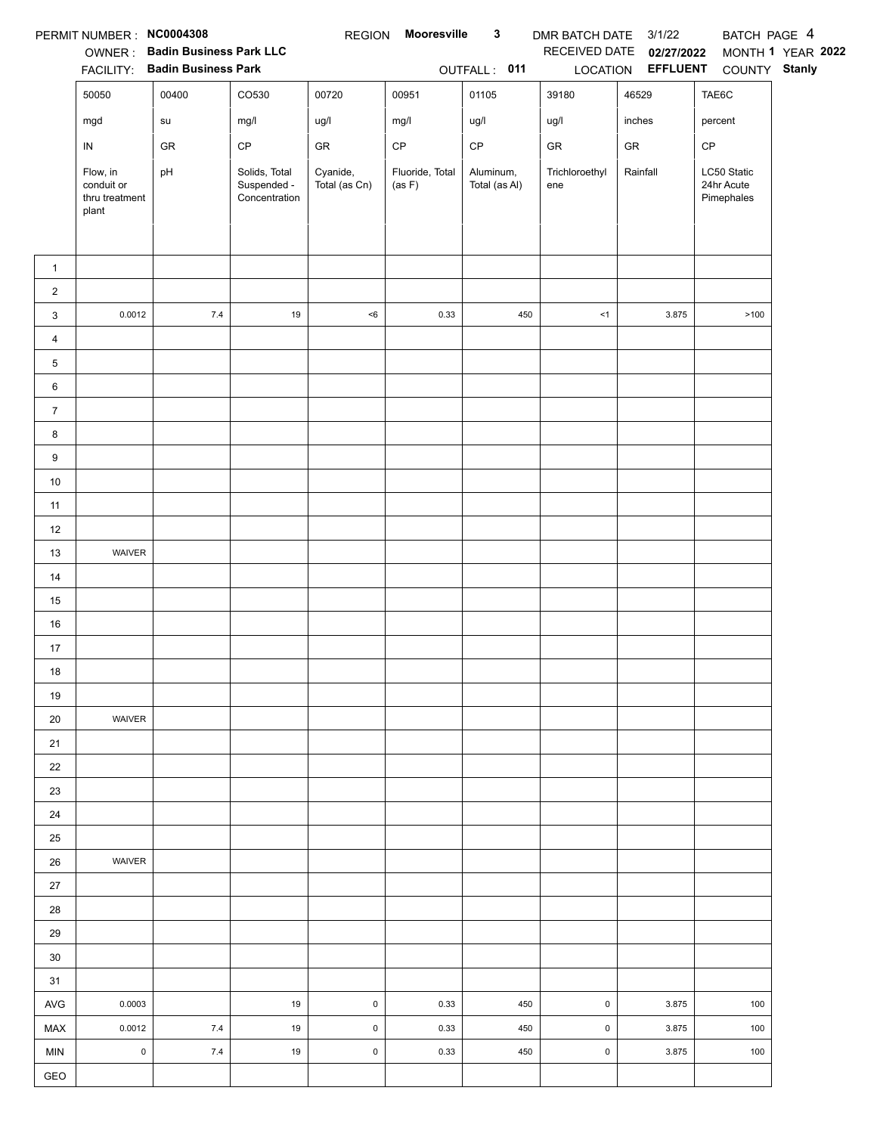|                | PERMIT NUMBER: NC0004308              |                                                                 |                              | <b>REGION</b>       | Mooresville     | 3             | DMR BATCH DATE 3/1/22 |                                 | BATCH PAGE 4             |                   |
|----------------|---------------------------------------|-----------------------------------------------------------------|------------------------------|---------------------|-----------------|---------------|-----------------------|---------------------------------|--------------------------|-------------------|
|                |                                       | OWNER: Badin Business Park LLC<br>FACILITY: Badin Business Park |                              |                     |                 | OUTFALL: 011  | RECEIVED DATE         | 02/27/2022<br>LOCATION EFFLUENT | COUNTY Stanly            | MONTH 1 YEAR 2022 |
|                | 50050                                 | 00400                                                           | CO530                        | 00720               | 00951           | 01105         | 39180                 | 46529                           | TAE6C                    |                   |
|                | mgd                                   | su                                                              | mg/l                         | ug/l                | mg/l            | ug/l          | ug/l                  | inches                          | percent                  |                   |
|                | IN                                    | GR                                                              | CP                           | GR                  | $\mathsf{CP}$   | $\mathsf{CP}$ | GR                    | ${\sf GR}$                      | CP                       |                   |
|                | Flow, in                              | pH                                                              | Solids, Total                | Cyanide,            | Fluoride, Total | Aluminum,     | Trichloroethyl        | Rainfall                        | LC50 Static              |                   |
|                | conduit or<br>thru treatment<br>plant |                                                                 | Suspended -<br>Concentration | Total (as Cn)       | (as F)          | Total (as Al) | ene                   |                                 | 24hr Acute<br>Pimephales |                   |
|                |                                       |                                                                 |                              |                     |                 |               |                       |                                 |                          |                   |
| $\mathbf{1}$   |                                       |                                                                 |                              |                     |                 |               |                       |                                 |                          |                   |
| $\overline{2}$ | 0.0012                                | $7.4\,$                                                         | 19                           | $<\!6$              | 0.33            | 450           | < 1                   | 3.875                           | >100                     |                   |
| 3<br>4         |                                       |                                                                 |                              |                     |                 |               |                       |                                 |                          |                   |
| 5              |                                       |                                                                 |                              |                     |                 |               |                       |                                 |                          |                   |
| 6              |                                       |                                                                 |                              |                     |                 |               |                       |                                 |                          |                   |
| $\overline{7}$ |                                       |                                                                 |                              |                     |                 |               |                       |                                 |                          |                   |
| 8              |                                       |                                                                 |                              |                     |                 |               |                       |                                 |                          |                   |
| 9              |                                       |                                                                 |                              |                     |                 |               |                       |                                 |                          |                   |
| $10\,$         |                                       |                                                                 |                              |                     |                 |               |                       |                                 |                          |                   |
| 11             |                                       |                                                                 |                              |                     |                 |               |                       |                                 |                          |                   |
| 12             |                                       |                                                                 |                              |                     |                 |               |                       |                                 |                          |                   |
| 13             | WAIVER                                |                                                                 |                              |                     |                 |               |                       |                                 |                          |                   |
| 14             |                                       |                                                                 |                              |                     |                 |               |                       |                                 |                          |                   |
| 15             |                                       |                                                                 |                              |                     |                 |               |                       |                                 |                          |                   |
| 16             |                                       |                                                                 |                              |                     |                 |               |                       |                                 |                          |                   |
| 17             |                                       |                                                                 |                              |                     |                 |               |                       |                                 |                          |                   |
| 18             |                                       |                                                                 |                              |                     |                 |               |                       |                                 |                          |                   |
| 19             |                                       |                                                                 |                              |                     |                 |               |                       |                                 |                          |                   |
| 20             | WAIVER                                |                                                                 |                              |                     |                 |               |                       |                                 |                          |                   |
| 21             |                                       |                                                                 |                              |                     |                 |               |                       |                                 |                          |                   |
| 22<br>23       |                                       |                                                                 |                              |                     |                 |               |                       |                                 |                          |                   |
| 24             |                                       |                                                                 |                              |                     |                 |               |                       |                                 |                          |                   |
| 25             |                                       |                                                                 |                              |                     |                 |               |                       |                                 |                          |                   |
| 26             | WAIVER                                |                                                                 |                              |                     |                 |               |                       |                                 |                          |                   |
| $27\,$         |                                       |                                                                 |                              |                     |                 |               |                       |                                 |                          |                   |
| 28             |                                       |                                                                 |                              |                     |                 |               |                       |                                 |                          |                   |
| 29             |                                       |                                                                 |                              |                     |                 |               |                       |                                 |                          |                   |
| 30             |                                       |                                                                 |                              |                     |                 |               |                       |                                 |                          |                   |
| 31             |                                       |                                                                 |                              |                     |                 |               |                       |                                 |                          |                   |
| <b>AVG</b>     | 0.0003                                |                                                                 | 19                           | $\mathsf{O}\xspace$ | 0.33            | 450           | $\mathsf 0$           | 3.875                           | 100                      |                   |
| MAX            | 0.0012                                | $7.4$                                                           | 19                           | $\pmb{0}$           | 0.33            | 450           | $\pmb{0}$             | 3.875                           | 100                      |                   |
| <b>MIN</b>     | $\mathsf 0$                           | 7.4                                                             | 19                           | $\mathsf 0$         | 0.33            | 450           | $\mathsf 0$           | 3.875                           | 100                      |                   |
| GEO            |                                       |                                                                 |                              |                     |                 |               |                       |                                 |                          |                   |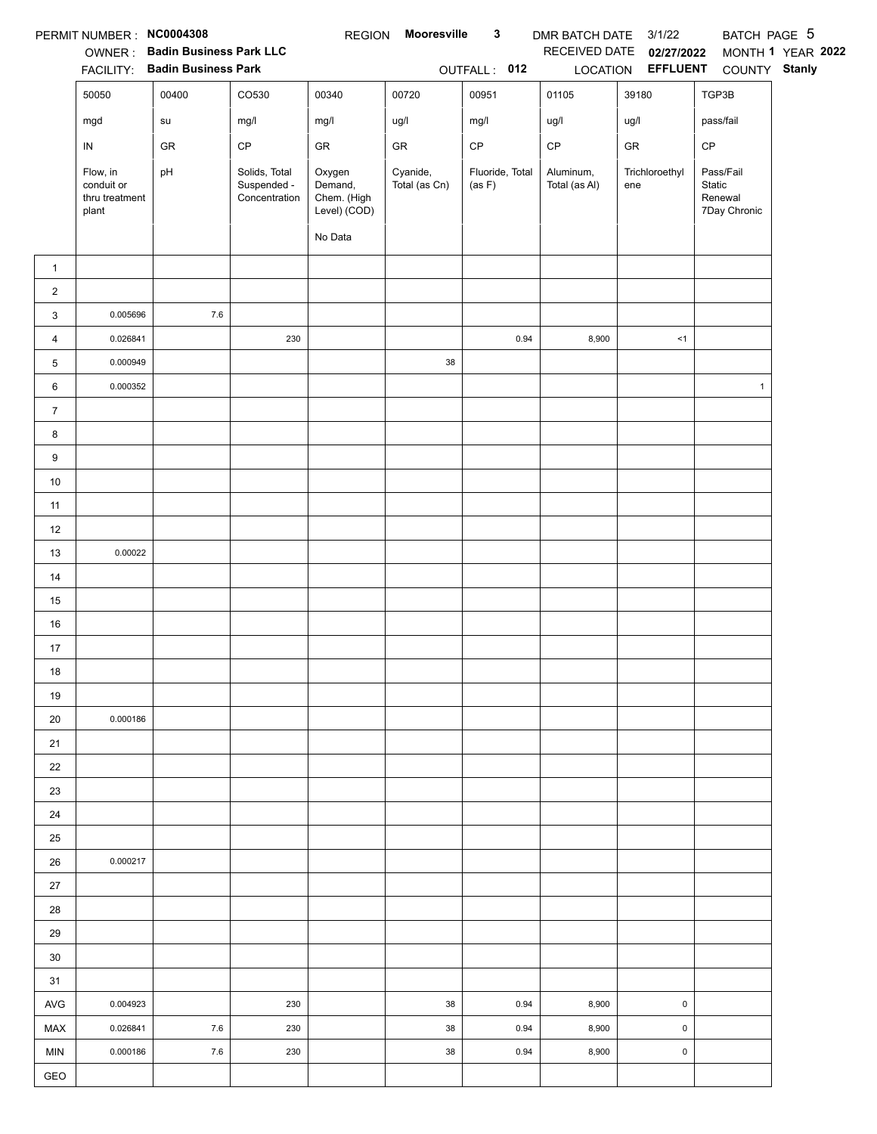|                | PERMIT NUMBER : NC0004308                         |                                |                                               | <b>REGION</b>                                               | <b>Mooresville</b>        | $\mathbf{3}$              | DMR BATCH DATE 3/1/22      |                       | BATCH PAGE 5                                   |                   |
|----------------|---------------------------------------------------|--------------------------------|-----------------------------------------------|-------------------------------------------------------------|---------------------------|---------------------------|----------------------------|-----------------------|------------------------------------------------|-------------------|
|                |                                                   | OWNER: Badin Business Park LLC |                                               |                                                             |                           |                           | RECEIVED DATE              | 02/27/2022            |                                                | MONTH 1 YEAR 2022 |
|                |                                                   | FACILITY: Badin Business Park  |                                               |                                                             |                           | OUTFALL: 012              |                            | LOCATION EFFLUENT     | COUNTY Stanly                                  |                   |
|                | 50050                                             | 00400                          | CO530                                         | 00340                                                       | 00720                     | 00951                     | 01105                      | 39180                 | TGP3B                                          |                   |
|                | mgd                                               | su                             | mg/l                                          | mg/l                                                        | ug/l                      | mg/l                      | ug/l                       | ug/l                  | pass/fail                                      |                   |
|                | IN                                                | ${\sf GR}$                     | $\mathsf{CP}$                                 | GR                                                          | ${\sf GR}$                | $\mathsf{CP}$             | $\mathsf{CP}$              | GR                    | CP                                             |                   |
|                | Flow, in<br>conduit or<br>thru treatment<br>plant | pH                             | Solids, Total<br>Suspended -<br>Concentration | Oxygen<br>Demand,<br>Chem. (High<br>Level) (COD)<br>No Data | Cyanide,<br>Total (as Cn) | Fluoride, Total<br>(as F) | Aluminum,<br>Total (as Al) | Trichloroethyl<br>ene | Pass/Fail<br>Static<br>Renewal<br>7Day Chronic |                   |
|                |                                                   |                                |                                               |                                                             |                           |                           |                            |                       |                                                |                   |
| $\mathbf{1}$   |                                                   |                                |                                               |                                                             |                           |                           |                            |                       |                                                |                   |
| $\overline{2}$ |                                                   |                                |                                               |                                                             |                           |                           |                            |                       |                                                |                   |
| 3              | 0.005696                                          | 7.6                            |                                               |                                                             |                           |                           |                            |                       |                                                |                   |
| 4              | 0.026841                                          |                                | 230                                           |                                                             |                           | 0.94                      | 8,900                      | <1                    |                                                |                   |
| 5              | 0.000949                                          |                                |                                               |                                                             | $38\,$                    |                           |                            |                       |                                                |                   |
| 6              | 0.000352                                          |                                |                                               |                                                             |                           |                           |                            |                       | $\mathbf{1}$                                   |                   |
| $\overline{7}$ |                                                   |                                |                                               |                                                             |                           |                           |                            |                       |                                                |                   |
| 8              |                                                   |                                |                                               |                                                             |                           |                           |                            |                       |                                                |                   |
| 9              |                                                   |                                |                                               |                                                             |                           |                           |                            |                       |                                                |                   |
| $10\,$         |                                                   |                                |                                               |                                                             |                           |                           |                            |                       |                                                |                   |
| 11             |                                                   |                                |                                               |                                                             |                           |                           |                            |                       |                                                |                   |
| 12             |                                                   |                                |                                               |                                                             |                           |                           |                            |                       |                                                |                   |
| 13             | 0.00022                                           |                                |                                               |                                                             |                           |                           |                            |                       |                                                |                   |
| 14             |                                                   |                                |                                               |                                                             |                           |                           |                            |                       |                                                |                   |
| 15             |                                                   |                                |                                               |                                                             |                           |                           |                            |                       |                                                |                   |
| 16             |                                                   |                                |                                               |                                                             |                           |                           |                            |                       |                                                |                   |
| 17             |                                                   |                                |                                               |                                                             |                           |                           |                            |                       |                                                |                   |
| $18$           |                                                   |                                |                                               |                                                             |                           |                           |                            |                       |                                                |                   |
| 19             |                                                   |                                |                                               |                                                             |                           |                           |                            |                       |                                                |                   |
| 20             | 0.000186                                          |                                |                                               |                                                             |                           |                           |                            |                       |                                                |                   |
| 21             |                                                   |                                |                                               |                                                             |                           |                           |                            |                       |                                                |                   |
| 22             |                                                   |                                |                                               |                                                             |                           |                           |                            |                       |                                                |                   |
| 23             |                                                   |                                |                                               |                                                             |                           |                           |                            |                       |                                                |                   |
| 24             |                                                   |                                |                                               |                                                             |                           |                           |                            |                       |                                                |                   |
| 25             |                                                   |                                |                                               |                                                             |                           |                           |                            |                       |                                                |                   |
| 26             | 0.000217                                          |                                |                                               |                                                             |                           |                           |                            |                       |                                                |                   |
| 27             |                                                   |                                |                                               |                                                             |                           |                           |                            |                       |                                                |                   |
| 28             |                                                   |                                |                                               |                                                             |                           |                           |                            |                       |                                                |                   |
| 29             |                                                   |                                |                                               |                                                             |                           |                           |                            |                       |                                                |                   |
| 30             |                                                   |                                |                                               |                                                             |                           |                           |                            |                       |                                                |                   |
| 31             |                                                   |                                |                                               |                                                             |                           |                           |                            |                       |                                                |                   |
| AVG            | 0.004923                                          |                                | 230                                           |                                                             | 38                        | 0.94                      | 8,900                      | $\pmb{0}$             |                                                |                   |
| MAX            | 0.026841                                          | 7.6                            | 230                                           |                                                             | 38                        | 0.94                      | 8,900                      | $\pmb{0}$             |                                                |                   |
| <b>MIN</b>     | 0.000186                                          | 7.6                            | 230                                           |                                                             | 38                        | 0.94                      | 8,900                      | $\pmb{0}$             |                                                |                   |
| GEO            |                                                   |                                |                                               |                                                             |                           |                           |                            |                       |                                                |                   |
|                |                                                   |                                |                                               |                                                             |                           |                           |                            |                       |                                                |                   |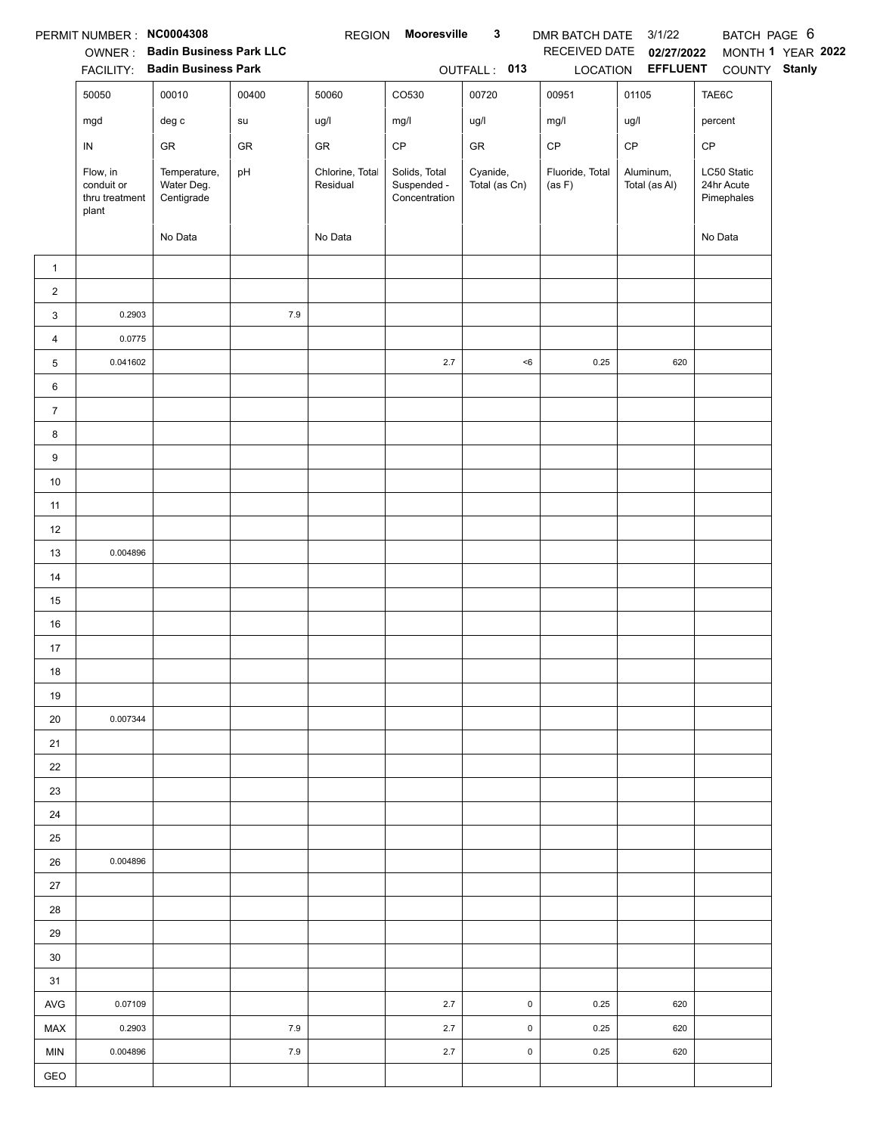|                | PERMIT NUMBER : NC0004308                         |                                          |       | <b>REGION</b>               | <b>Mooresville</b>                            | $\mathbf{3}$              | DMR BATCH DATE 3/1/22     |                            | BATCH PAGE 6                            |                   |
|----------------|---------------------------------------------------|------------------------------------------|-------|-----------------------------|-----------------------------------------------|---------------------------|---------------------------|----------------------------|-----------------------------------------|-------------------|
|                |                                                   | OWNER: Badin Business Park LLC           |       |                             |                                               |                           | RECEIVED DATE             | 02/27/2022                 |                                         | MONTH 1 YEAR 2022 |
|                |                                                   | FACILITY: Badin Business Park            |       |                             |                                               | OUTFALL: 013              |                           | LOCATION EFFLUENT          | COUNTY Stanly                           |                   |
|                | 50050                                             | 00010                                    | 00400 | 50060                       | CO530                                         | 00720                     | 00951                     | 01105                      | TAE6C                                   |                   |
|                | mgd                                               | $\deg$ c                                 | su    | ug/l                        | mg/l                                          | ug/l                      | mg/l                      | ug/l                       | percent                                 |                   |
|                | IN                                                | ${\sf GR}$                               | GR    | GR                          | $\mathsf{CP}$                                 | ${\sf GR}$                | $\mathsf{CP}$             | CP                         | CP                                      |                   |
|                | Flow, in<br>conduit or<br>thru treatment<br>plant | Temperature,<br>Water Deg.<br>Centigrade | pH    | Chlorine, Total<br>Residual | Solids, Total<br>Suspended -<br>Concentration | Cyanide,<br>Total (as Cn) | Fluoride, Total<br>(as F) | Aluminum,<br>Total (as Al) | LC50 Static<br>24hr Acute<br>Pimephales |                   |
|                |                                                   | No Data                                  |       | No Data                     |                                               |                           |                           |                            | No Data                                 |                   |
| $\mathbf{1}$   |                                                   |                                          |       |                             |                                               |                           |                           |                            |                                         |                   |
| $\overline{c}$ |                                                   |                                          |       |                             |                                               |                           |                           |                            |                                         |                   |
| 3              | 0.2903                                            |                                          | $7.9$ |                             |                                               |                           |                           |                            |                                         |                   |
| 4              | 0.0775                                            |                                          |       |                             |                                               |                           |                           |                            |                                         |                   |
| 5              | 0.041602                                          |                                          |       |                             | $2.7\,$                                       | < 6                       | 0.25                      | 620                        |                                         |                   |
| 6              |                                                   |                                          |       |                             |                                               |                           |                           |                            |                                         |                   |
| $\overline{7}$ |                                                   |                                          |       |                             |                                               |                           |                           |                            |                                         |                   |
| 8              |                                                   |                                          |       |                             |                                               |                           |                           |                            |                                         |                   |
| 9              |                                                   |                                          |       |                             |                                               |                           |                           |                            |                                         |                   |
| $10\,$         |                                                   |                                          |       |                             |                                               |                           |                           |                            |                                         |                   |
| 11             |                                                   |                                          |       |                             |                                               |                           |                           |                            |                                         |                   |
| 12             |                                                   |                                          |       |                             |                                               |                           |                           |                            |                                         |                   |
| 13             | 0.004896                                          |                                          |       |                             |                                               |                           |                           |                            |                                         |                   |
| 14             |                                                   |                                          |       |                             |                                               |                           |                           |                            |                                         |                   |
| 15             |                                                   |                                          |       |                             |                                               |                           |                           |                            |                                         |                   |
| 16             |                                                   |                                          |       |                             |                                               |                           |                           |                            |                                         |                   |
| 17             |                                                   |                                          |       |                             |                                               |                           |                           |                            |                                         |                   |
| $18$           |                                                   |                                          |       |                             |                                               |                           |                           |                            |                                         |                   |
| 19             |                                                   |                                          |       |                             |                                               |                           |                           |                            |                                         |                   |
| 20             | 0.007344                                          |                                          |       |                             |                                               |                           |                           |                            |                                         |                   |
| 21             |                                                   |                                          |       |                             |                                               |                           |                           |                            |                                         |                   |
| 22             |                                                   |                                          |       |                             |                                               |                           |                           |                            |                                         |                   |
| 23             |                                                   |                                          |       |                             |                                               |                           |                           |                            |                                         |                   |
| 24             |                                                   |                                          |       |                             |                                               |                           |                           |                            |                                         |                   |
| 25             |                                                   |                                          |       |                             |                                               |                           |                           |                            |                                         |                   |
| 26             | 0.004896                                          |                                          |       |                             |                                               |                           |                           |                            |                                         |                   |
| 27             |                                                   |                                          |       |                             |                                               |                           |                           |                            |                                         |                   |
| 28             |                                                   |                                          |       |                             |                                               |                           |                           |                            |                                         |                   |
| 29             |                                                   |                                          |       |                             |                                               |                           |                           |                            |                                         |                   |
| 30             |                                                   |                                          |       |                             |                                               |                           |                           |                            |                                         |                   |
| 31             |                                                   |                                          |       |                             |                                               |                           |                           |                            |                                         |                   |
| AVG            | 0.07109                                           |                                          |       |                             | 2.7                                           | 0                         | 0.25                      | 620                        |                                         |                   |
| MAX            | 0.2903                                            |                                          | 7.9   |                             | 2.7                                           | $\pmb{0}$                 | 0.25                      | 620                        |                                         |                   |
| <b>MIN</b>     | 0.004896                                          |                                          | 7.9   |                             | 2.7                                           | $\mathsf 0$               | 0.25                      | 620                        |                                         |                   |
| GEO            |                                                   |                                          |       |                             |                                               |                           |                           |                            |                                         |                   |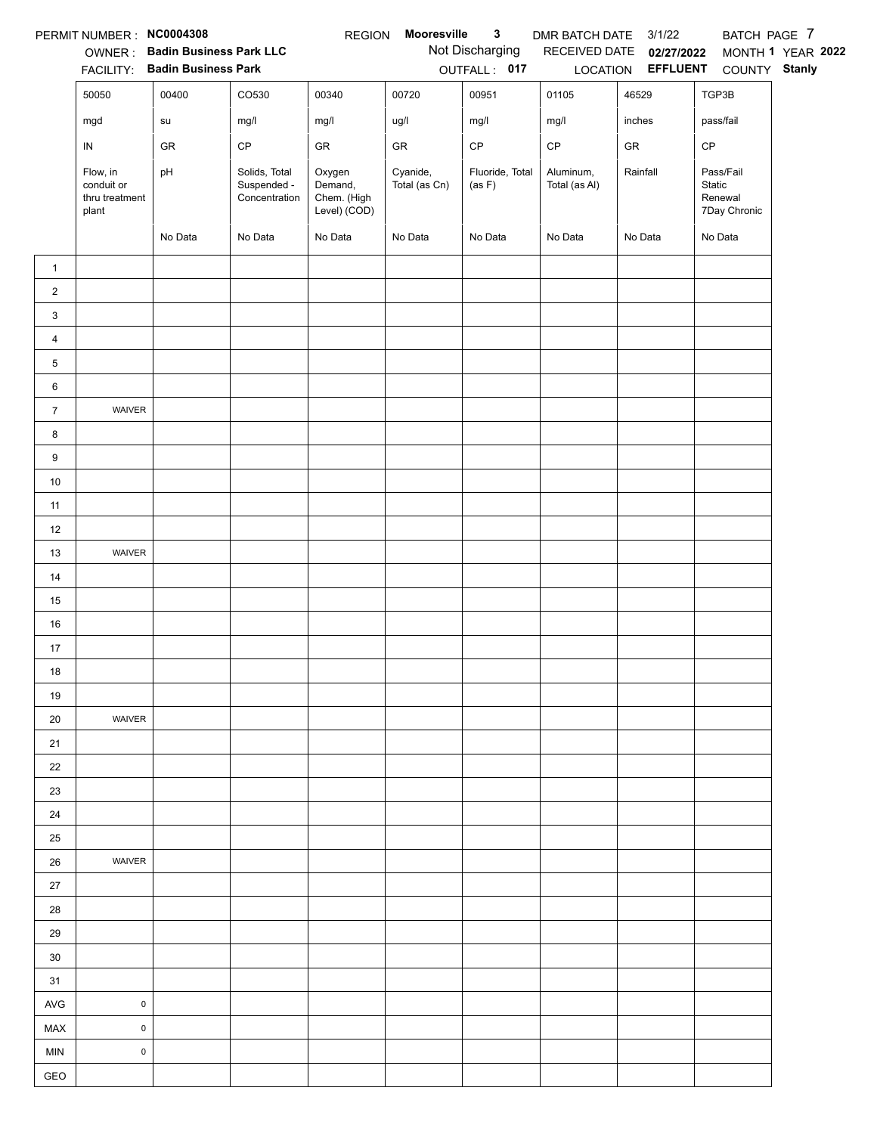|                | PERMIT NUMBER : NC0004308                         |                                                                 |                                               | <b>REGION</b>                                    | Mooresville               | $\mathbf{3}$              | DMR BATCH DATE 3/1/22      |                                   | BATCH PAGE 7                                   |                   |
|----------------|---------------------------------------------------|-----------------------------------------------------------------|-----------------------------------------------|--------------------------------------------------|---------------------------|---------------------------|----------------------------|-----------------------------------|------------------------------------------------|-------------------|
|                |                                                   | OWNER: Badin Business Park LLC<br>FACILITY: Badin Business Park |                                               |                                                  |                           | Not Discharging           |                            | RECEIVED DATE 02/27/2022          |                                                | MONTH 1 YEAR 2022 |
|                | 50050                                             | 00400                                                           | CO530                                         | 00340                                            | 00720                     | OUTFALL: 017<br>00951     | 01105                      | LOCATION <b>EFFLUENT</b><br>46529 | COUNTY Stanly<br>TGP3B                         |                   |
|                |                                                   |                                                                 |                                               |                                                  |                           |                           |                            | inches                            |                                                |                   |
|                | mgd                                               | su                                                              | mg/l                                          | mg/l                                             | ug/l                      | mg/l                      | mg/l                       |                                   | pass/fail                                      |                   |
|                | ${\sf IN}$                                        | GR                                                              | CP                                            | GR                                               | GR                        | $\mathsf{CP}$             | $\mathsf{CP}$              | ${\sf GR}$                        | CP                                             |                   |
|                | Flow, in<br>conduit or<br>thru treatment<br>plant | pH                                                              | Solids, Total<br>Suspended -<br>Concentration | Oxygen<br>Demand,<br>Chem. (High<br>Level) (COD) | Cyanide,<br>Total (as Cn) | Fluoride, Total<br>(as F) | Aluminum,<br>Total (as Al) | Rainfall                          | Pass/Fail<br>Static<br>Renewal<br>7Day Chronic |                   |
|                |                                                   | No Data                                                         | No Data                                       | No Data                                          | No Data                   | No Data                   | No Data                    | No Data                           | No Data                                        |                   |
| $\mathbf{1}$   |                                                   |                                                                 |                                               |                                                  |                           |                           |                            |                                   |                                                |                   |
| $\overline{2}$ |                                                   |                                                                 |                                               |                                                  |                           |                           |                            |                                   |                                                |                   |
| 3              |                                                   |                                                                 |                                               |                                                  |                           |                           |                            |                                   |                                                |                   |
| $\overline{4}$ |                                                   |                                                                 |                                               |                                                  |                           |                           |                            |                                   |                                                |                   |
| 5              |                                                   |                                                                 |                                               |                                                  |                           |                           |                            |                                   |                                                |                   |
| 6              |                                                   |                                                                 |                                               |                                                  |                           |                           |                            |                                   |                                                |                   |
| $\overline{7}$ | WAIVER                                            |                                                                 |                                               |                                                  |                           |                           |                            |                                   |                                                |                   |
| 8              |                                                   |                                                                 |                                               |                                                  |                           |                           |                            |                                   |                                                |                   |
| 9              |                                                   |                                                                 |                                               |                                                  |                           |                           |                            |                                   |                                                |                   |
| $10\,$         |                                                   |                                                                 |                                               |                                                  |                           |                           |                            |                                   |                                                |                   |
| 11             |                                                   |                                                                 |                                               |                                                  |                           |                           |                            |                                   |                                                |                   |
| 12             |                                                   |                                                                 |                                               |                                                  |                           |                           |                            |                                   |                                                |                   |
| 13             | WAIVER                                            |                                                                 |                                               |                                                  |                           |                           |                            |                                   |                                                |                   |
| 14             |                                                   |                                                                 |                                               |                                                  |                           |                           |                            |                                   |                                                |                   |
| 15             |                                                   |                                                                 |                                               |                                                  |                           |                           |                            |                                   |                                                |                   |
| 16             |                                                   |                                                                 |                                               |                                                  |                           |                           |                            |                                   |                                                |                   |
| 17             |                                                   |                                                                 |                                               |                                                  |                           |                           |                            |                                   |                                                |                   |
| 18             |                                                   |                                                                 |                                               |                                                  |                           |                           |                            |                                   |                                                |                   |
| 19             |                                                   |                                                                 |                                               |                                                  |                           |                           |                            |                                   |                                                |                   |
| 20             | WAIVER                                            |                                                                 |                                               |                                                  |                           |                           |                            |                                   |                                                |                   |
| 21             |                                                   |                                                                 |                                               |                                                  |                           |                           |                            |                                   |                                                |                   |
| 22             |                                                   |                                                                 |                                               |                                                  |                           |                           |                            |                                   |                                                |                   |
| 23             |                                                   |                                                                 |                                               |                                                  |                           |                           |                            |                                   |                                                |                   |
| 24             |                                                   |                                                                 |                                               |                                                  |                           |                           |                            |                                   |                                                |                   |
| 25             |                                                   |                                                                 |                                               |                                                  |                           |                           |                            |                                   |                                                |                   |
| 26             | WAIVER                                            |                                                                 |                                               |                                                  |                           |                           |                            |                                   |                                                |                   |
| 27             |                                                   |                                                                 |                                               |                                                  |                           |                           |                            |                                   |                                                |                   |
| 28             |                                                   |                                                                 |                                               |                                                  |                           |                           |                            |                                   |                                                |                   |
| 29             |                                                   |                                                                 |                                               |                                                  |                           |                           |                            |                                   |                                                |                   |
| 30             |                                                   |                                                                 |                                               |                                                  |                           |                           |                            |                                   |                                                |                   |
| 31             |                                                   |                                                                 |                                               |                                                  |                           |                           |                            |                                   |                                                |                   |
| AVG            | $\pmb{0}$                                         |                                                                 |                                               |                                                  |                           |                           |                            |                                   |                                                |                   |
| MAX            | $\mathsf 0$                                       |                                                                 |                                               |                                                  |                           |                           |                            |                                   |                                                |                   |
| <b>MIN</b>     | $\mathsf 0$                                       |                                                                 |                                               |                                                  |                           |                           |                            |                                   |                                                |                   |
| GEO            |                                                   |                                                                 |                                               |                                                  |                           |                           |                            |                                   |                                                |                   |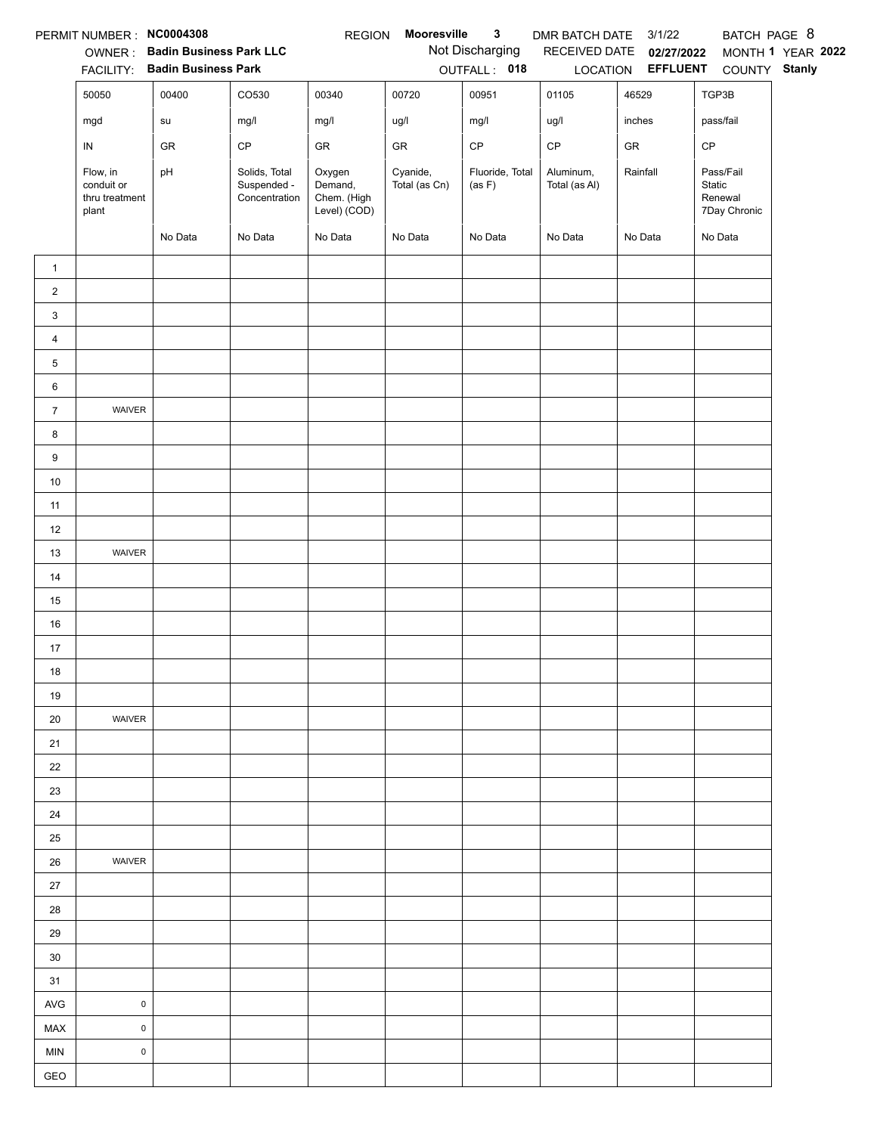|                | PERMIT NUMBER: NC0004308                          |                                        |                                               | <b>REGION</b>                                    | Mooresville               | $\mathbf{3}$              | DMR BATCH DATE 3/1/22      |                                   | BATCH PAGE 8                                   |                   |
|----------------|---------------------------------------------------|----------------------------------------|-----------------------------------------------|--------------------------------------------------|---------------------------|---------------------------|----------------------------|-----------------------------------|------------------------------------------------|-------------------|
|                |                                                   | OWNER: Badin Business Park LLC         |                                               |                                                  |                           | Not Discharging           |                            | RECEIVED DATE 02/27/2022          |                                                | MONTH 1 YEAR 2022 |
|                | 50050                                             | FACILITY: Badin Business Park<br>00400 | CO530                                         | 00340                                            | 00720                     | OUTFALL: 018<br>00951     | 01105                      | LOCATION <b>EFFLUENT</b><br>46529 | COUNTY Stanly<br>TGP3B                         |                   |
|                |                                                   |                                        |                                               |                                                  |                           |                           |                            |                                   |                                                |                   |
|                | mgd                                               | ${\sf su}$                             | mg/l                                          | mg/l                                             | ug/l                      | mg/l                      | ug/l                       | inches                            | pass/fail                                      |                   |
|                | IN                                                | GR                                     | CP                                            | GR                                               | GR                        | CP                        | $\mathsf{CP}$              | ${\sf GR}$                        | CP                                             |                   |
|                | Flow, in<br>conduit or<br>thru treatment<br>plant | pH                                     | Solids, Total<br>Suspended -<br>Concentration | Oxygen<br>Demand,<br>Chem. (High<br>Level) (COD) | Cyanide,<br>Total (as Cn) | Fluoride, Total<br>(as F) | Aluminum,<br>Total (as Al) | Rainfall                          | Pass/Fail<br>Static<br>Renewal<br>7Day Chronic |                   |
|                |                                                   | No Data                                | No Data                                       | No Data                                          | No Data                   | No Data                   | No Data                    | No Data                           | No Data                                        |                   |
| $\mathbf{1}$   |                                                   |                                        |                                               |                                                  |                           |                           |                            |                                   |                                                |                   |
| $\overline{2}$ |                                                   |                                        |                                               |                                                  |                           |                           |                            |                                   |                                                |                   |
| 3              |                                                   |                                        |                                               |                                                  |                           |                           |                            |                                   |                                                |                   |
| $\overline{4}$ |                                                   |                                        |                                               |                                                  |                           |                           |                            |                                   |                                                |                   |
| 5              |                                                   |                                        |                                               |                                                  |                           |                           |                            |                                   |                                                |                   |
| 6              |                                                   |                                        |                                               |                                                  |                           |                           |                            |                                   |                                                |                   |
| $\overline{7}$ | WAIVER                                            |                                        |                                               |                                                  |                           |                           |                            |                                   |                                                |                   |
| 8              |                                                   |                                        |                                               |                                                  |                           |                           |                            |                                   |                                                |                   |
| $9\,$          |                                                   |                                        |                                               |                                                  |                           |                           |                            |                                   |                                                |                   |
| 10             |                                                   |                                        |                                               |                                                  |                           |                           |                            |                                   |                                                |                   |
| 11             |                                                   |                                        |                                               |                                                  |                           |                           |                            |                                   |                                                |                   |
| 12             |                                                   |                                        |                                               |                                                  |                           |                           |                            |                                   |                                                |                   |
| 13             | WAIVER                                            |                                        |                                               |                                                  |                           |                           |                            |                                   |                                                |                   |
| 14             |                                                   |                                        |                                               |                                                  |                           |                           |                            |                                   |                                                |                   |
| 15             |                                                   |                                        |                                               |                                                  |                           |                           |                            |                                   |                                                |                   |
| 16             |                                                   |                                        |                                               |                                                  |                           |                           |                            |                                   |                                                |                   |
| 17             |                                                   |                                        |                                               |                                                  |                           |                           |                            |                                   |                                                |                   |
| 18             |                                                   |                                        |                                               |                                                  |                           |                           |                            |                                   |                                                |                   |
| 19             |                                                   |                                        |                                               |                                                  |                           |                           |                            |                                   |                                                |                   |
| 20             | WAIVER                                            |                                        |                                               |                                                  |                           |                           |                            |                                   |                                                |                   |
| 21             |                                                   |                                        |                                               |                                                  |                           |                           |                            |                                   |                                                |                   |
| 22             |                                                   |                                        |                                               |                                                  |                           |                           |                            |                                   |                                                |                   |
| 23             |                                                   |                                        |                                               |                                                  |                           |                           |                            |                                   |                                                |                   |
| 24             |                                                   |                                        |                                               |                                                  |                           |                           |                            |                                   |                                                |                   |
| 25             |                                                   |                                        |                                               |                                                  |                           |                           |                            |                                   |                                                |                   |
| 26             | WAIVER                                            |                                        |                                               |                                                  |                           |                           |                            |                                   |                                                |                   |
| 27             |                                                   |                                        |                                               |                                                  |                           |                           |                            |                                   |                                                |                   |
| 28             |                                                   |                                        |                                               |                                                  |                           |                           |                            |                                   |                                                |                   |
| 29             |                                                   |                                        |                                               |                                                  |                           |                           |                            |                                   |                                                |                   |
| 30             |                                                   |                                        |                                               |                                                  |                           |                           |                            |                                   |                                                |                   |
| 31             |                                                   |                                        |                                               |                                                  |                           |                           |                            |                                   |                                                |                   |
| <b>AVG</b>     | $\pmb{0}$                                         |                                        |                                               |                                                  |                           |                           |                            |                                   |                                                |                   |
| MAX            | $\pmb{0}$                                         |                                        |                                               |                                                  |                           |                           |                            |                                   |                                                |                   |
| MIN            | $\pmb{0}$                                         |                                        |                                               |                                                  |                           |                           |                            |                                   |                                                |                   |
| GEO            |                                                   |                                        |                                               |                                                  |                           |                           |                            |                                   |                                                |                   |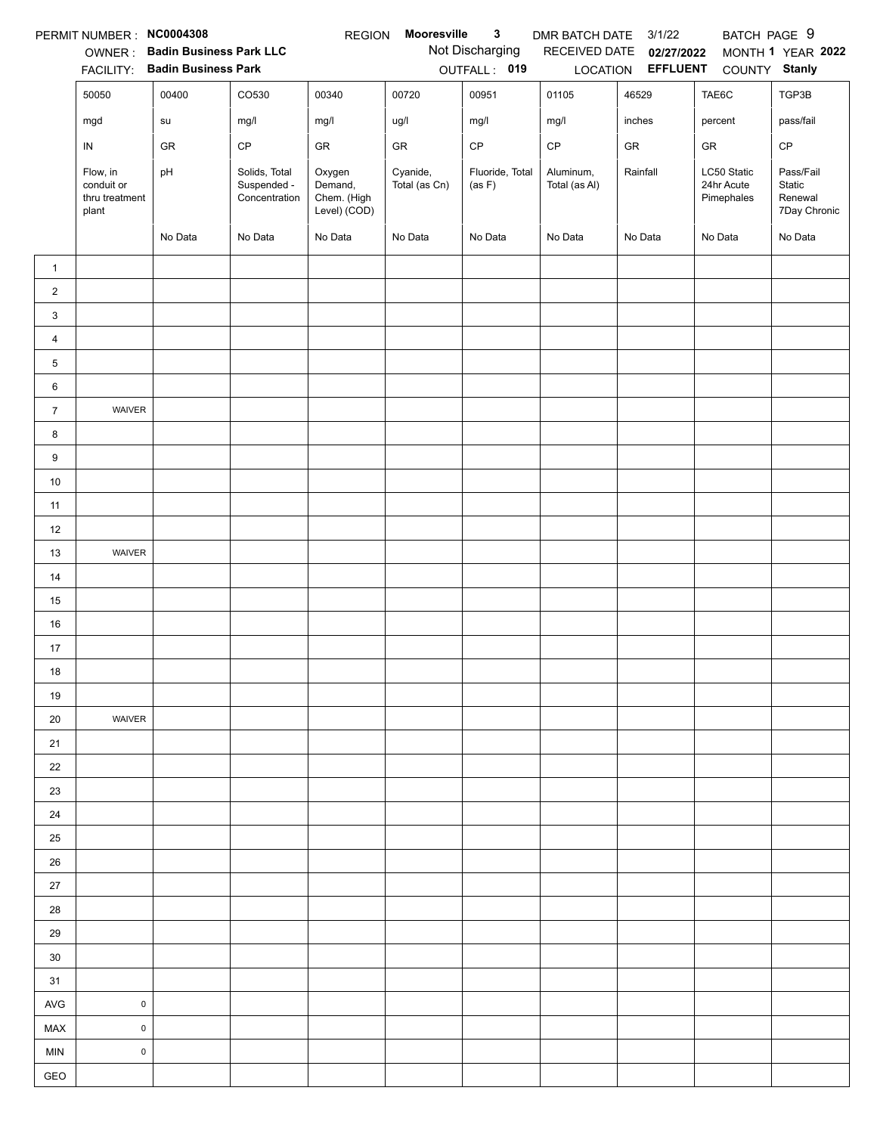|                | PERMIT NUMBER : NC0004308                         |                                |                                               | <b>REGION</b>                                    | Mooresville               | $\mathbf{3}$              | DMR BATCH DATE             | 3/1/22                   | BATCH PAGE 9                            |                                                |
|----------------|---------------------------------------------------|--------------------------------|-----------------------------------------------|--------------------------------------------------|---------------------------|---------------------------|----------------------------|--------------------------|-----------------------------------------|------------------------------------------------|
|                |                                                   | OWNER: Badin Business Park LLC |                                               |                                                  |                           | Not Discharging           |                            | RECEIVED DATE 02/27/2022 |                                         | MONTH 1 YEAR 2022                              |
|                |                                                   | FACILITY: Badin Business Park  |                                               |                                                  |                           | OUTFALL: 019              |                            | LOCATION <b>EFFLUENT</b> | COUNTY Stanly                           |                                                |
|                | 50050                                             | 00400                          | CO530                                         | 00340                                            | 00720                     | 00951                     | 01105                      | 46529                    | TAE6C                                   | TGP3B                                          |
|                | mgd                                               | su                             | mg/l                                          | mg/l                                             | ug/l                      | mg/l                      | mg/l                       | inches                   | percent                                 | pass/fail                                      |
|                | IN                                                | GR                             | CP                                            | GR                                               | GR                        | $\mathsf{CP}$             | $\mathsf{CP}$              | GR                       | GR                                      | $\mathsf{CP}$                                  |
|                | Flow, in<br>conduit or<br>thru treatment<br>plant | pH                             | Solids, Total<br>Suspended -<br>Concentration | Oxygen<br>Demand,<br>Chem. (High<br>Level) (COD) | Cyanide,<br>Total (as Cn) | Fluoride, Total<br>(as F) | Aluminum,<br>Total (as Al) | Rainfall                 | LC50 Static<br>24hr Acute<br>Pimephales | Pass/Fail<br>Static<br>Renewal<br>7Day Chronic |
|                |                                                   | No Data                        | No Data                                       | No Data                                          | No Data                   | No Data                   | No Data                    | No Data                  | No Data                                 | No Data                                        |
| $\mathbf{1}$   |                                                   |                                |                                               |                                                  |                           |                           |                            |                          |                                         |                                                |
| $\overline{2}$ |                                                   |                                |                                               |                                                  |                           |                           |                            |                          |                                         |                                                |
| 3              |                                                   |                                |                                               |                                                  |                           |                           |                            |                          |                                         |                                                |
| $\overline{4}$ |                                                   |                                |                                               |                                                  |                           |                           |                            |                          |                                         |                                                |
| 5              |                                                   |                                |                                               |                                                  |                           |                           |                            |                          |                                         |                                                |
| 6              |                                                   |                                |                                               |                                                  |                           |                           |                            |                          |                                         |                                                |
| $\overline{7}$ | WAIVER                                            |                                |                                               |                                                  |                           |                           |                            |                          |                                         |                                                |
| 8              |                                                   |                                |                                               |                                                  |                           |                           |                            |                          |                                         |                                                |
| 9              |                                                   |                                |                                               |                                                  |                           |                           |                            |                          |                                         |                                                |
| $10\,$         |                                                   |                                |                                               |                                                  |                           |                           |                            |                          |                                         |                                                |
| 11             |                                                   |                                |                                               |                                                  |                           |                           |                            |                          |                                         |                                                |
| 12             |                                                   |                                |                                               |                                                  |                           |                           |                            |                          |                                         |                                                |
| 13             | WAIVER                                            |                                |                                               |                                                  |                           |                           |                            |                          |                                         |                                                |
| 14             |                                                   |                                |                                               |                                                  |                           |                           |                            |                          |                                         |                                                |
| 15             |                                                   |                                |                                               |                                                  |                           |                           |                            |                          |                                         |                                                |
| 16             |                                                   |                                |                                               |                                                  |                           |                           |                            |                          |                                         |                                                |
| 17             |                                                   |                                |                                               |                                                  |                           |                           |                            |                          |                                         |                                                |
| 18             |                                                   |                                |                                               |                                                  |                           |                           |                            |                          |                                         |                                                |
| 19             |                                                   |                                |                                               |                                                  |                           |                           |                            |                          |                                         |                                                |
| 20             | WAIVER                                            |                                |                                               |                                                  |                           |                           |                            |                          |                                         |                                                |
| 21             |                                                   |                                |                                               |                                                  |                           |                           |                            |                          |                                         |                                                |
| 22             |                                                   |                                |                                               |                                                  |                           |                           |                            |                          |                                         |                                                |
| 23             |                                                   |                                |                                               |                                                  |                           |                           |                            |                          |                                         |                                                |
| 24             |                                                   |                                |                                               |                                                  |                           |                           |                            |                          |                                         |                                                |
| 25             |                                                   |                                |                                               |                                                  |                           |                           |                            |                          |                                         |                                                |
| 26             |                                                   |                                |                                               |                                                  |                           |                           |                            |                          |                                         |                                                |
| 27             |                                                   |                                |                                               |                                                  |                           |                           |                            |                          |                                         |                                                |
| 28             |                                                   |                                |                                               |                                                  |                           |                           |                            |                          |                                         |                                                |
| 29             |                                                   |                                |                                               |                                                  |                           |                           |                            |                          |                                         |                                                |
| 30             |                                                   |                                |                                               |                                                  |                           |                           |                            |                          |                                         |                                                |
| 31             |                                                   |                                |                                               |                                                  |                           |                           |                            |                          |                                         |                                                |
| <b>AVG</b>     | $\mathsf 0$                                       |                                |                                               |                                                  |                           |                           |                            |                          |                                         |                                                |
| MAX            | $\pmb{0}$                                         |                                |                                               |                                                  |                           |                           |                            |                          |                                         |                                                |
| <b>MIN</b>     | $\mathsf 0$                                       |                                |                                               |                                                  |                           |                           |                            |                          |                                         |                                                |
| GEO            |                                                   |                                |                                               |                                                  |                           |                           |                            |                          |                                         |                                                |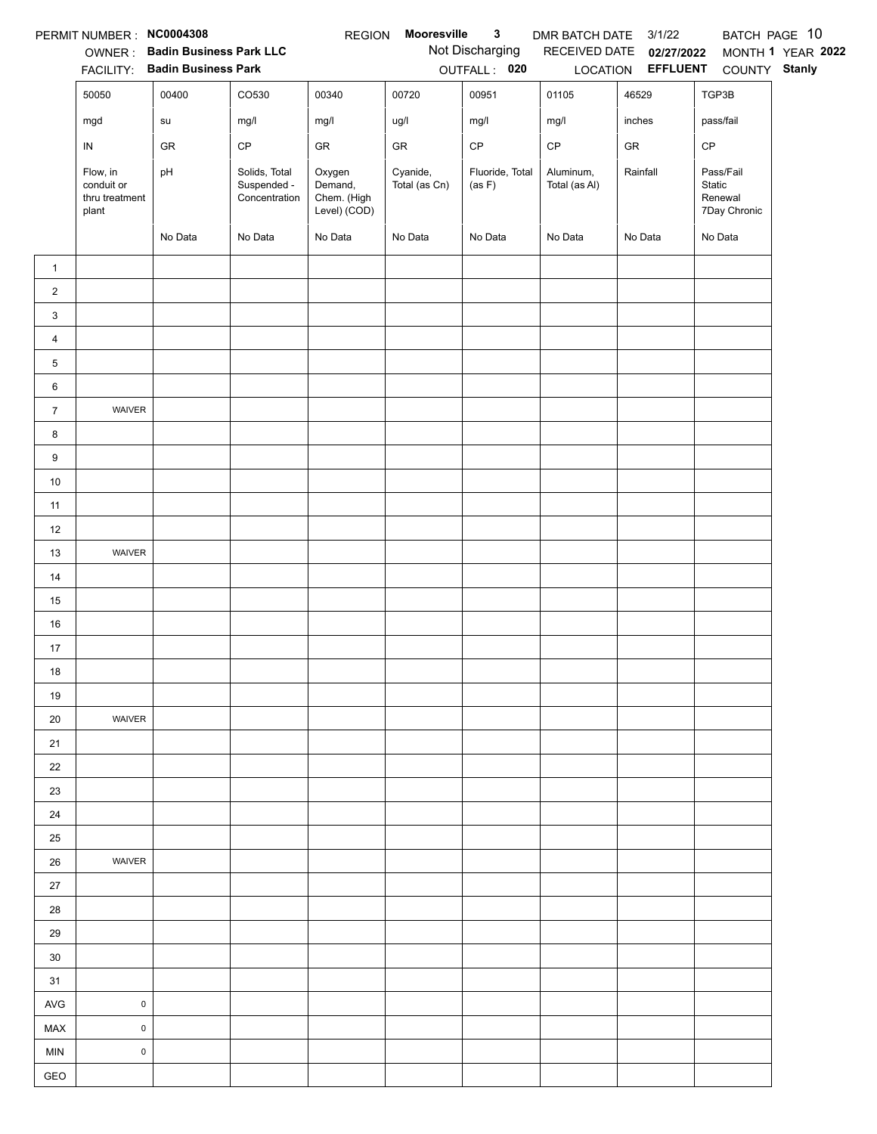|                | PERMIT NUMBER : NC0004308                         |                                        |                                               | <b>REGION</b>                                    | Mooresville               | $\mathbf{3}$              | DMR BATCH DATE 3/1/22      |                          |                                                | BATCH PAGE 10     |
|----------------|---------------------------------------------------|----------------------------------------|-----------------------------------------------|--------------------------------------------------|---------------------------|---------------------------|----------------------------|--------------------------|------------------------------------------------|-------------------|
|                |                                                   | OWNER: Badin Business Park LLC         |                                               |                                                  |                           | Not Discharging           |                            | RECEIVED DATE 02/27/2022 |                                                | MONTH 1 YEAR 2022 |
|                | 50050                                             | FACILITY: Badin Business Park<br>00400 | CO530                                         | 00340                                            | 00720                     | OUTFALL: 020<br>00951     | 01105                      | 46529                    | LOCATION EFFLUENT COUNTY Stanly<br>TGP3B       |                   |
|                |                                                   |                                        |                                               |                                                  |                           |                           |                            |                          |                                                |                   |
|                | mgd                                               | ${\sf su}$                             | mg/l                                          | mg/l                                             | ug/l                      | mg/l                      | mg/l                       | inches                   | pass/fail                                      |                   |
|                | IN                                                | GR                                     | $\mathsf{CP}$                                 | GR                                               | ${\sf GR}$                | $\mathsf{CP}$             | $\mathsf{CP}$              | ${\sf GR}$               | $\mathsf{CP}$                                  |                   |
|                | Flow, in<br>conduit or<br>thru treatment<br>plant | pH                                     | Solids, Total<br>Suspended -<br>Concentration | Oxygen<br>Demand,<br>Chem. (High<br>Level) (COD) | Cyanide,<br>Total (as Cn) | Fluoride, Total<br>(as F) | Aluminum,<br>Total (as Al) | Rainfall                 | Pass/Fail<br>Static<br>Renewal<br>7Day Chronic |                   |
|                |                                                   | No Data                                | No Data                                       | No Data                                          | No Data                   | No Data                   | No Data                    | No Data                  | No Data                                        |                   |
| $\mathbf{1}$   |                                                   |                                        |                                               |                                                  |                           |                           |                            |                          |                                                |                   |
| $\overline{2}$ |                                                   |                                        |                                               |                                                  |                           |                           |                            |                          |                                                |                   |
| 3              |                                                   |                                        |                                               |                                                  |                           |                           |                            |                          |                                                |                   |
| $\overline{4}$ |                                                   |                                        |                                               |                                                  |                           |                           |                            |                          |                                                |                   |
| 5              |                                                   |                                        |                                               |                                                  |                           |                           |                            |                          |                                                |                   |
| 6              |                                                   |                                        |                                               |                                                  |                           |                           |                            |                          |                                                |                   |
| $\overline{7}$ | WAIVER                                            |                                        |                                               |                                                  |                           |                           |                            |                          |                                                |                   |
| 8              |                                                   |                                        |                                               |                                                  |                           |                           |                            |                          |                                                |                   |
| 9              |                                                   |                                        |                                               |                                                  |                           |                           |                            |                          |                                                |                   |
| $10\,$         |                                                   |                                        |                                               |                                                  |                           |                           |                            |                          |                                                |                   |
| 11             |                                                   |                                        |                                               |                                                  |                           |                           |                            |                          |                                                |                   |
| 12             |                                                   |                                        |                                               |                                                  |                           |                           |                            |                          |                                                |                   |
| 13             | WAIVER                                            |                                        |                                               |                                                  |                           |                           |                            |                          |                                                |                   |
| 14             |                                                   |                                        |                                               |                                                  |                           |                           |                            |                          |                                                |                   |
| 15             |                                                   |                                        |                                               |                                                  |                           |                           |                            |                          |                                                |                   |
| 16             |                                                   |                                        |                                               |                                                  |                           |                           |                            |                          |                                                |                   |
| 17             |                                                   |                                        |                                               |                                                  |                           |                           |                            |                          |                                                |                   |
| 18             |                                                   |                                        |                                               |                                                  |                           |                           |                            |                          |                                                |                   |
| 19<br>20       | WAIVER                                            |                                        |                                               |                                                  |                           |                           |                            |                          |                                                |                   |
| 21             |                                                   |                                        |                                               |                                                  |                           |                           |                            |                          |                                                |                   |
| 22             |                                                   |                                        |                                               |                                                  |                           |                           |                            |                          |                                                |                   |
| 23             |                                                   |                                        |                                               |                                                  |                           |                           |                            |                          |                                                |                   |
| 24             |                                                   |                                        |                                               |                                                  |                           |                           |                            |                          |                                                |                   |
| 25             |                                                   |                                        |                                               |                                                  |                           |                           |                            |                          |                                                |                   |
| 26             | WAIVER                                            |                                        |                                               |                                                  |                           |                           |                            |                          |                                                |                   |
| 27             |                                                   |                                        |                                               |                                                  |                           |                           |                            |                          |                                                |                   |
| 28             |                                                   |                                        |                                               |                                                  |                           |                           |                            |                          |                                                |                   |
| 29             |                                                   |                                        |                                               |                                                  |                           |                           |                            |                          |                                                |                   |
| 30             |                                                   |                                        |                                               |                                                  |                           |                           |                            |                          |                                                |                   |
| 31             |                                                   |                                        |                                               |                                                  |                           |                           |                            |                          |                                                |                   |
| AVG            | $\mathsf 0$                                       |                                        |                                               |                                                  |                           |                           |                            |                          |                                                |                   |
| MAX            | $\mathsf 0$                                       |                                        |                                               |                                                  |                           |                           |                            |                          |                                                |                   |
| <b>MIN</b>     | $\mathbf 0$                                       |                                        |                                               |                                                  |                           |                           |                            |                          |                                                |                   |
| GEO            |                                                   |                                        |                                               |                                                  |                           |                           |                            |                          |                                                |                   |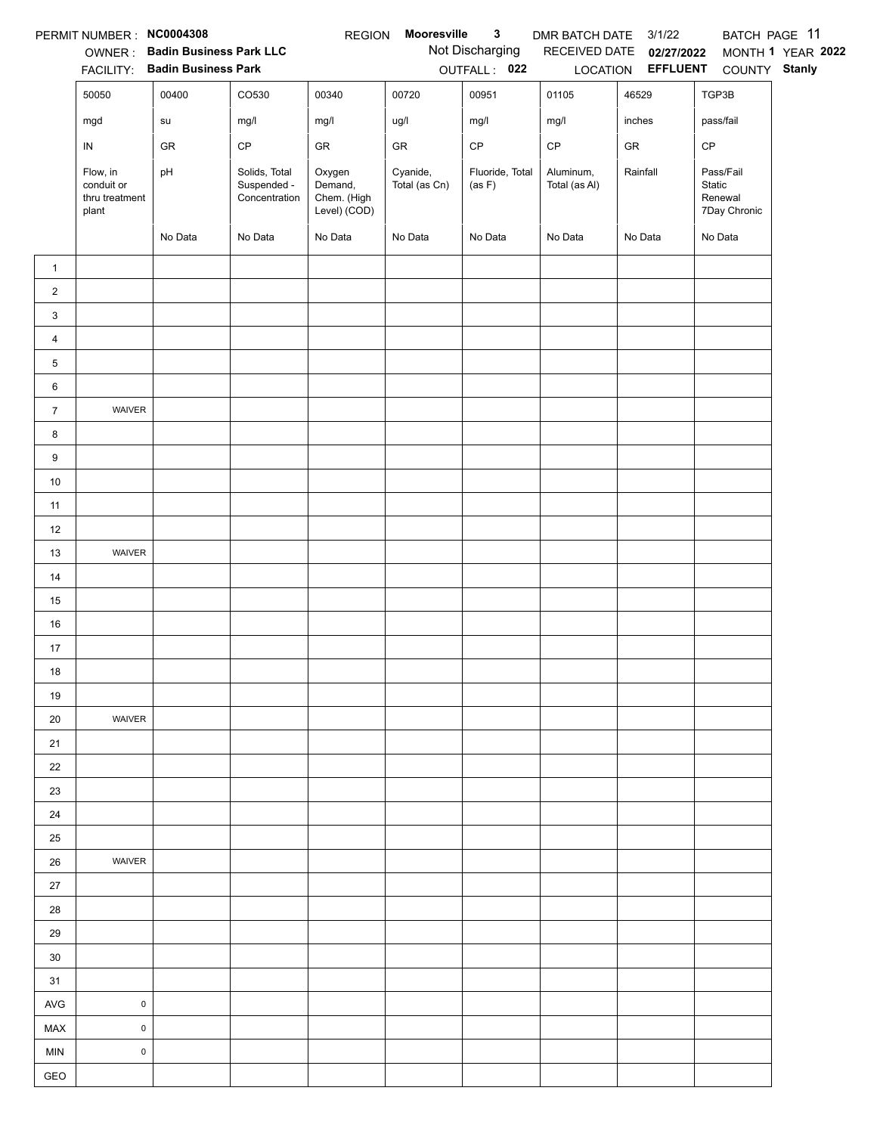|                | PERMIT NUMBER : NC0004308                         |                                        |                                               | <b>REGION</b>                                    | Mooresville               | $\mathbf{3}$              | DMR BATCH DATE 3/1/22      |                          | BATCH PAGE 11                                  |                   |
|----------------|---------------------------------------------------|----------------------------------------|-----------------------------------------------|--------------------------------------------------|---------------------------|---------------------------|----------------------------|--------------------------|------------------------------------------------|-------------------|
|                |                                                   | OWNER: Badin Business Park LLC         |                                               |                                                  |                           | Not Discharging           |                            | RECEIVED DATE 02/27/2022 |                                                | MONTH 1 YEAR 2022 |
|                | 50050                                             | FACILITY: Badin Business Park<br>00400 | CO530                                         | 00340                                            | 00720                     | OUTFALL: 022<br>00951     | 01105                      | 46529                    | LOCATION EFFLUENT COUNTY Stanly<br>TGP3B       |                   |
|                |                                                   |                                        |                                               |                                                  |                           |                           |                            |                          |                                                |                   |
|                | mgd                                               | ${\sf su}$                             | mg/l                                          | mg/l                                             | ug/l                      | mg/l                      | mg/l                       | inches                   | pass/fail                                      |                   |
|                | IN                                                | GR                                     | $\mathsf{CP}$                                 | ${\sf GR}$                                       | ${\sf GR}$                | $\mathsf{CP}$             | $\mathsf{CP}$              | ${\sf GR}$               | $\mathsf{CP}$                                  |                   |
|                | Flow, in<br>conduit or<br>thru treatment<br>plant | pH                                     | Solids, Total<br>Suspended -<br>Concentration | Oxygen<br>Demand,<br>Chem. (High<br>Level) (COD) | Cyanide,<br>Total (as Cn) | Fluoride, Total<br>(as F) | Aluminum,<br>Total (as Al) | Rainfall                 | Pass/Fail<br>Static<br>Renewal<br>7Day Chronic |                   |
|                |                                                   | No Data                                | No Data                                       | No Data                                          | No Data                   | No Data                   | No Data                    | No Data                  | No Data                                        |                   |
| $\mathbf{1}$   |                                                   |                                        |                                               |                                                  |                           |                           |                            |                          |                                                |                   |
| $\overline{2}$ |                                                   |                                        |                                               |                                                  |                           |                           |                            |                          |                                                |                   |
| 3              |                                                   |                                        |                                               |                                                  |                           |                           |                            |                          |                                                |                   |
| $\overline{4}$ |                                                   |                                        |                                               |                                                  |                           |                           |                            |                          |                                                |                   |
| 5              |                                                   |                                        |                                               |                                                  |                           |                           |                            |                          |                                                |                   |
| 6              |                                                   |                                        |                                               |                                                  |                           |                           |                            |                          |                                                |                   |
| $\overline{7}$ | WAIVER                                            |                                        |                                               |                                                  |                           |                           |                            |                          |                                                |                   |
| 8              |                                                   |                                        |                                               |                                                  |                           |                           |                            |                          |                                                |                   |
| 9              |                                                   |                                        |                                               |                                                  |                           |                           |                            |                          |                                                |                   |
| $10\,$         |                                                   |                                        |                                               |                                                  |                           |                           |                            |                          |                                                |                   |
| 11             |                                                   |                                        |                                               |                                                  |                           |                           |                            |                          |                                                |                   |
| 12             |                                                   |                                        |                                               |                                                  |                           |                           |                            |                          |                                                |                   |
| 13             | WAIVER                                            |                                        |                                               |                                                  |                           |                           |                            |                          |                                                |                   |
| 14             |                                                   |                                        |                                               |                                                  |                           |                           |                            |                          |                                                |                   |
| 15             |                                                   |                                        |                                               |                                                  |                           |                           |                            |                          |                                                |                   |
| 16             |                                                   |                                        |                                               |                                                  |                           |                           |                            |                          |                                                |                   |
| 17             |                                                   |                                        |                                               |                                                  |                           |                           |                            |                          |                                                |                   |
| 18             |                                                   |                                        |                                               |                                                  |                           |                           |                            |                          |                                                |                   |
| 19             |                                                   |                                        |                                               |                                                  |                           |                           |                            |                          |                                                |                   |
| 20             | WAIVER                                            |                                        |                                               |                                                  |                           |                           |                            |                          |                                                |                   |
| 21             |                                                   |                                        |                                               |                                                  |                           |                           |                            |                          |                                                |                   |
| 22             |                                                   |                                        |                                               |                                                  |                           |                           |                            |                          |                                                |                   |
| 23             |                                                   |                                        |                                               |                                                  |                           |                           |                            |                          |                                                |                   |
| 24             |                                                   |                                        |                                               |                                                  |                           |                           |                            |                          |                                                |                   |
| 25             |                                                   |                                        |                                               |                                                  |                           |                           |                            |                          |                                                |                   |
| 26             | WAIVER                                            |                                        |                                               |                                                  |                           |                           |                            |                          |                                                |                   |
| 27             |                                                   |                                        |                                               |                                                  |                           |                           |                            |                          |                                                |                   |
| 28             |                                                   |                                        |                                               |                                                  |                           |                           |                            |                          |                                                |                   |
| 29             |                                                   |                                        |                                               |                                                  |                           |                           |                            |                          |                                                |                   |
| 30             |                                                   |                                        |                                               |                                                  |                           |                           |                            |                          |                                                |                   |
| 31             |                                                   |                                        |                                               |                                                  |                           |                           |                            |                          |                                                |                   |
| AVG            | $\mathsf 0$                                       |                                        |                                               |                                                  |                           |                           |                            |                          |                                                |                   |
| MAX            | $\mathsf 0$                                       |                                        |                                               |                                                  |                           |                           |                            |                          |                                                |                   |
| <b>MIN</b>     | $\mathbf 0$                                       |                                        |                                               |                                                  |                           |                           |                            |                          |                                                |                   |
| GEO            |                                                   |                                        |                                               |                                                  |                           |                           |                            |                          |                                                |                   |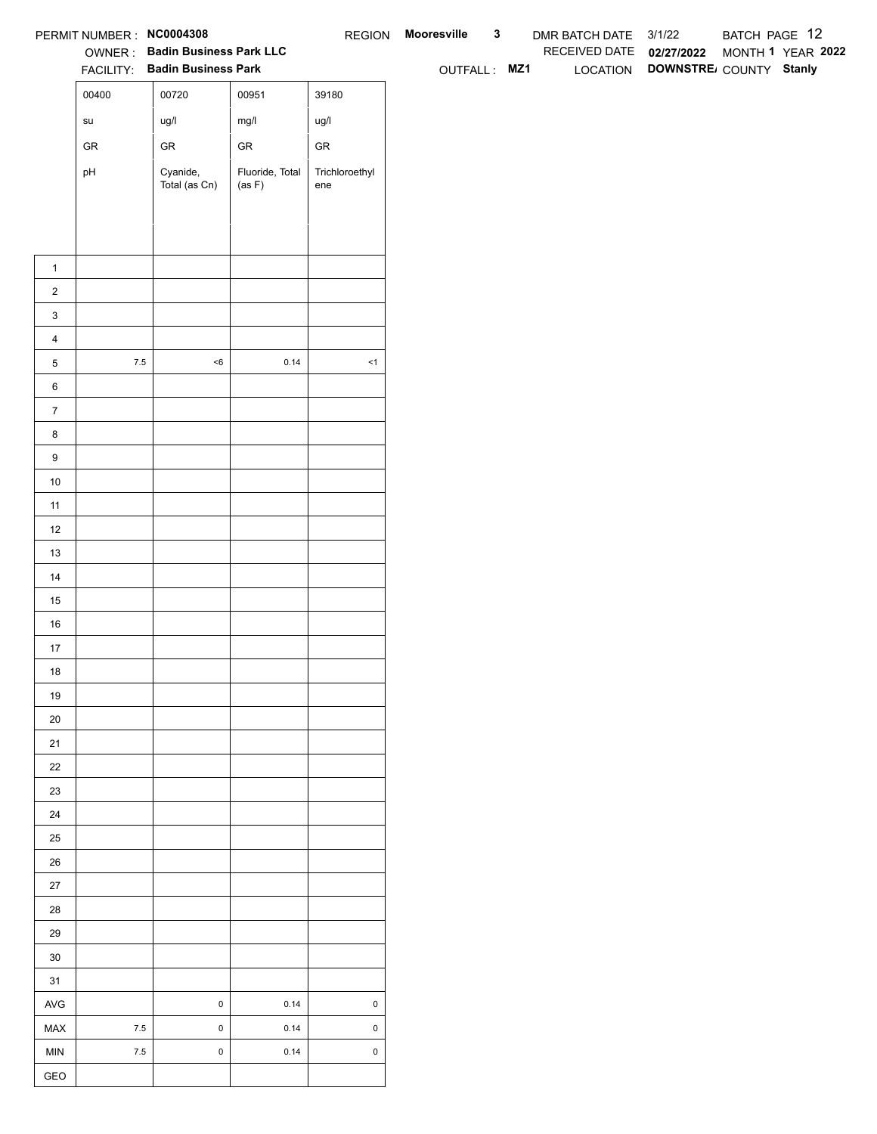|                  | PERMIT NUMBER : NC0004308             |                                |                           |                       | REGION Mooresville | $\mathbf{3}$ | DMR BATCH DATE 3/1/22    |                                 | BATCH PAGE 12     |  |
|------------------|---------------------------------------|--------------------------------|---------------------------|-----------------------|--------------------|--------------|--------------------------|---------------------------------|-------------------|--|
|                  |                                       | OWNER: Badin Business Park LLC |                           |                       |                    |              | RECEIVED DATE 02/27/2022 |                                 | MONTH 1 YEAR 2022 |  |
|                  |                                       | FACILITY: Badin Business Park  |                           |                       | OUTFALL: MZ1       |              |                          | LOCATION DOWNSTRE COUNTY Stanly |                   |  |
|                  | 00400                                 | 00720                          | 00951                     | 39180                 |                    |              |                          |                                 |                   |  |
|                  | $\operatorname{\mathsf{su}}\nolimits$ | ug/l                           | mg/l                      | ug/l                  |                    |              |                          |                                 |                   |  |
|                  | ${\sf GR}$                            | ${\sf GR}$                     | ${\sf GR}$                | ${\sf GR}$            |                    |              |                          |                                 |                   |  |
|                  | pH                                    | Cyanide,<br>Total (as Cn)      | Fluoride, Total<br>(as F) | Trichloroethyl<br>ene |                    |              |                          |                                 |                   |  |
|                  |                                       |                                |                           |                       |                    |              |                          |                                 |                   |  |
|                  |                                       |                                |                           |                       |                    |              |                          |                                 |                   |  |
|                  |                                       |                                |                           |                       |                    |              |                          |                                 |                   |  |
| $\mathbf{1}$     |                                       |                                |                           |                       |                    |              |                          |                                 |                   |  |
| $\overline{2}$   |                                       |                                |                           |                       |                    |              |                          |                                 |                   |  |
| $\mathbf{3}$     |                                       |                                |                           |                       |                    |              |                          |                                 |                   |  |
| $\overline{4}$   |                                       |                                |                           |                       |                    |              |                          |                                 |                   |  |
| $\,$ 5 $\,$      | $7.5\,$                               | $<\!6$                         | 0.14                      | $\leq$ 1              |                    |              |                          |                                 |                   |  |
| $\,6$            |                                       |                                |                           |                       |                    |              |                          |                                 |                   |  |
| $\overline{7}$   |                                       |                                |                           |                       |                    |              |                          |                                 |                   |  |
| 8                |                                       |                                |                           |                       |                    |              |                          |                                 |                   |  |
| $\boldsymbol{9}$ |                                       |                                |                           |                       |                    |              |                          |                                 |                   |  |
| 10               |                                       |                                |                           |                       |                    |              |                          |                                 |                   |  |
| 11<br>12         |                                       |                                |                           |                       |                    |              |                          |                                 |                   |  |
| 13               |                                       |                                |                           |                       |                    |              |                          |                                 |                   |  |
| 14               |                                       |                                |                           |                       |                    |              |                          |                                 |                   |  |
| 15               |                                       |                                |                           |                       |                    |              |                          |                                 |                   |  |
| 16               |                                       |                                |                           |                       |                    |              |                          |                                 |                   |  |
| $17$             |                                       |                                |                           |                       |                    |              |                          |                                 |                   |  |
| 18               |                                       |                                |                           |                       |                    |              |                          |                                 |                   |  |
| 19               |                                       |                                |                           |                       |                    |              |                          |                                 |                   |  |
| $20\,$           |                                       |                                |                           |                       |                    |              |                          |                                 |                   |  |
| 21               |                                       |                                |                           |                       |                    |              |                          |                                 |                   |  |
| $22\,$           |                                       |                                |                           |                       |                    |              |                          |                                 |                   |  |
| 23               |                                       |                                |                           |                       |                    |              |                          |                                 |                   |  |
| 24               |                                       |                                |                           |                       |                    |              |                          |                                 |                   |  |
| $25\,$           |                                       |                                |                           |                       |                    |              |                          |                                 |                   |  |
| 26               |                                       |                                |                           |                       |                    |              |                          |                                 |                   |  |
| 27               |                                       |                                |                           |                       |                    |              |                          |                                 |                   |  |
| 28               |                                       |                                |                           |                       |                    |              |                          |                                 |                   |  |
| 29               |                                       |                                |                           |                       |                    |              |                          |                                 |                   |  |
| $30\,$           |                                       |                                |                           |                       |                    |              |                          |                                 |                   |  |
| 31               |                                       |                                |                           |                       |                    |              |                          |                                 |                   |  |
| AVG              |                                       | $\pmb{0}$                      | 0.14                      | $\pmb{0}$             |                    |              |                          |                                 |                   |  |
| MAX              | $7.5\,$                               | $\pmb{0}$                      | 0.14                      | $\mathsf 0$           |                    |              |                          |                                 |                   |  |
| MIN              | $7.5\,$                               | $\mathbf 0$                    | 0.14                      | $\mathsf 0$           |                    |              |                          |                                 |                   |  |
| GEO              |                                       |                                |                           |                       |                    |              |                          |                                 |                   |  |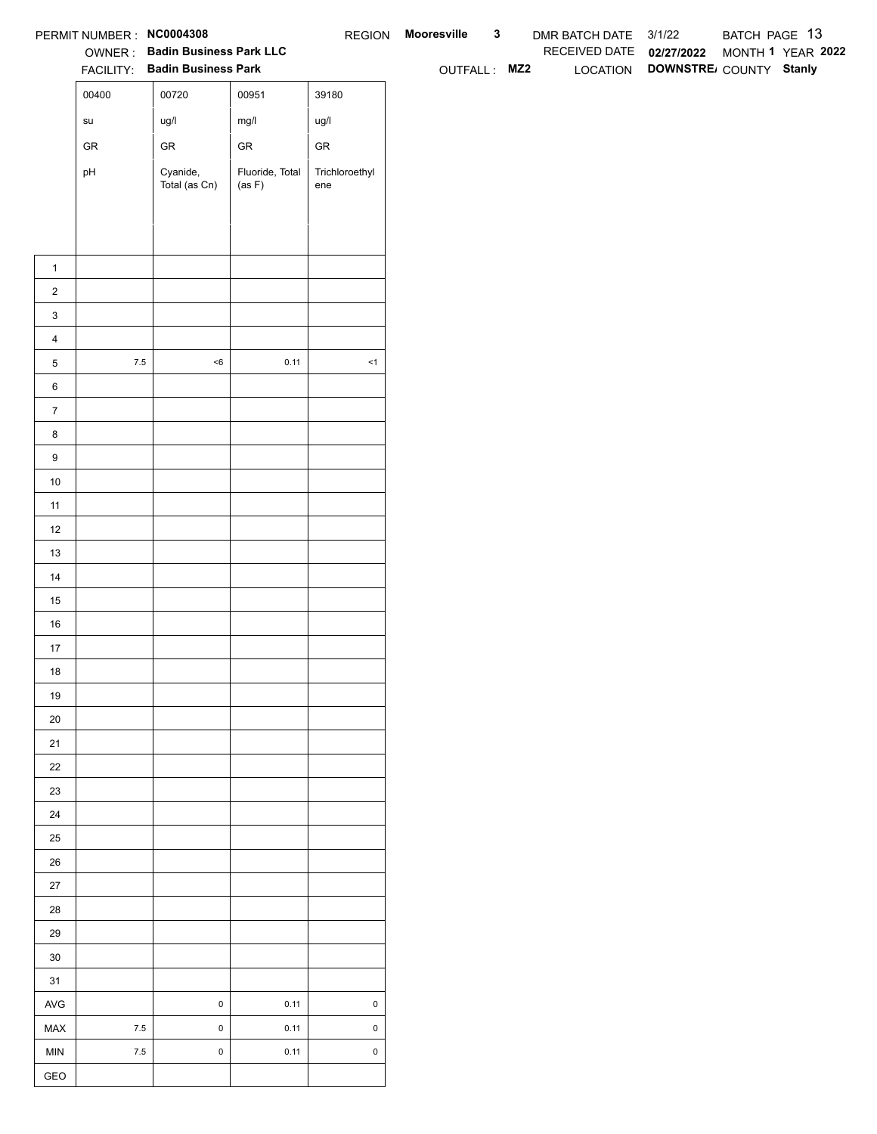|                  | PERMIT NUMBER : NC0004308             |                                                                 |                           |                       | REGION Mooresville | $\mathbf{3}$ | DMR BATCH DATE 3/1/22    |                                 | BATCH PAGE 13     |  |
|------------------|---------------------------------------|-----------------------------------------------------------------|---------------------------|-----------------------|--------------------|--------------|--------------------------|---------------------------------|-------------------|--|
|                  |                                       | OWNER: Badin Business Park LLC<br>FACILITY: Badin Business Park |                           |                       | OUTFALL: MZ2       |              | RECEIVED DATE 02/27/2022 | LOCATION DOWNSTRE COUNTY Stanly | MONTH 1 YEAR 2022 |  |
|                  | 00400                                 | 00720                                                           | 00951                     | 39180                 |                    |              |                          |                                 |                   |  |
|                  | $\operatorname{\mathsf{su}}\nolimits$ | ug/l                                                            | mg/l                      | ug/l                  |                    |              |                          |                                 |                   |  |
|                  | ${\sf GR}$                            | ${\sf GR}$                                                      | ${\sf GR}$                | ${\sf GR}$            |                    |              |                          |                                 |                   |  |
|                  |                                       |                                                                 |                           |                       |                    |              |                          |                                 |                   |  |
|                  | pH                                    | Cyanide,<br>Total (as Cn)                                       | Fluoride, Total<br>(as F) | Trichloroethyl<br>ene |                    |              |                          |                                 |                   |  |
|                  |                                       |                                                                 |                           |                       |                    |              |                          |                                 |                   |  |
|                  |                                       |                                                                 |                           |                       |                    |              |                          |                                 |                   |  |
| $\mathbf{1}$     |                                       |                                                                 |                           |                       |                    |              |                          |                                 |                   |  |
| $\overline{2}$   |                                       |                                                                 |                           |                       |                    |              |                          |                                 |                   |  |
| $\mathbf{3}$     |                                       |                                                                 |                           |                       |                    |              |                          |                                 |                   |  |
| $\overline{4}$   |                                       |                                                                 |                           |                       |                    |              |                          |                                 |                   |  |
| $\,$ 5 $\,$      | $7.5\,$                               | $<\!6$                                                          | 0.11                      | $\leq$ 1              |                    |              |                          |                                 |                   |  |
| $\,6$            |                                       |                                                                 |                           |                       |                    |              |                          |                                 |                   |  |
| $\overline{7}$   |                                       |                                                                 |                           |                       |                    |              |                          |                                 |                   |  |
| 8                |                                       |                                                                 |                           |                       |                    |              |                          |                                 |                   |  |
| $\boldsymbol{9}$ |                                       |                                                                 |                           |                       |                    |              |                          |                                 |                   |  |
| 10               |                                       |                                                                 |                           |                       |                    |              |                          |                                 |                   |  |
| 11               |                                       |                                                                 |                           |                       |                    |              |                          |                                 |                   |  |
| 12               |                                       |                                                                 |                           |                       |                    |              |                          |                                 |                   |  |
| 13               |                                       |                                                                 |                           |                       |                    |              |                          |                                 |                   |  |
| 14               |                                       |                                                                 |                           |                       |                    |              |                          |                                 |                   |  |
| 15               |                                       |                                                                 |                           |                       |                    |              |                          |                                 |                   |  |
| 16               |                                       |                                                                 |                           |                       |                    |              |                          |                                 |                   |  |
| $17$             |                                       |                                                                 |                           |                       |                    |              |                          |                                 |                   |  |
| 18               |                                       |                                                                 |                           |                       |                    |              |                          |                                 |                   |  |
| 19               |                                       |                                                                 |                           |                       |                    |              |                          |                                 |                   |  |
| $20\,$           |                                       |                                                                 |                           |                       |                    |              |                          |                                 |                   |  |
| 21               |                                       |                                                                 |                           |                       |                    |              |                          |                                 |                   |  |
| $22\,$           |                                       |                                                                 |                           |                       |                    |              |                          |                                 |                   |  |
| 23               |                                       |                                                                 |                           |                       |                    |              |                          |                                 |                   |  |
| 24               |                                       |                                                                 |                           |                       |                    |              |                          |                                 |                   |  |
| $25\,$           |                                       |                                                                 |                           |                       |                    |              |                          |                                 |                   |  |
| 26               |                                       |                                                                 |                           |                       |                    |              |                          |                                 |                   |  |
| 27               |                                       |                                                                 |                           |                       |                    |              |                          |                                 |                   |  |
| 28<br>29         |                                       |                                                                 |                           |                       |                    |              |                          |                                 |                   |  |
| $30\,$           |                                       |                                                                 |                           |                       |                    |              |                          |                                 |                   |  |
| 31               |                                       |                                                                 |                           |                       |                    |              |                          |                                 |                   |  |
| AVG              |                                       | $\pmb{0}$                                                       | 0.11                      | $\pmb{0}$             |                    |              |                          |                                 |                   |  |
| MAX              | $7.5\,$                               | $\pmb{0}$                                                       | 0.11                      | $\mathsf 0$           |                    |              |                          |                                 |                   |  |
| MIN              | $7.5\,$                               | $\mathbf 0$                                                     | 0.11                      | $\mathsf 0$           |                    |              |                          |                                 |                   |  |
| GEO              |                                       |                                                                 |                           |                       |                    |              |                          |                                 |                   |  |